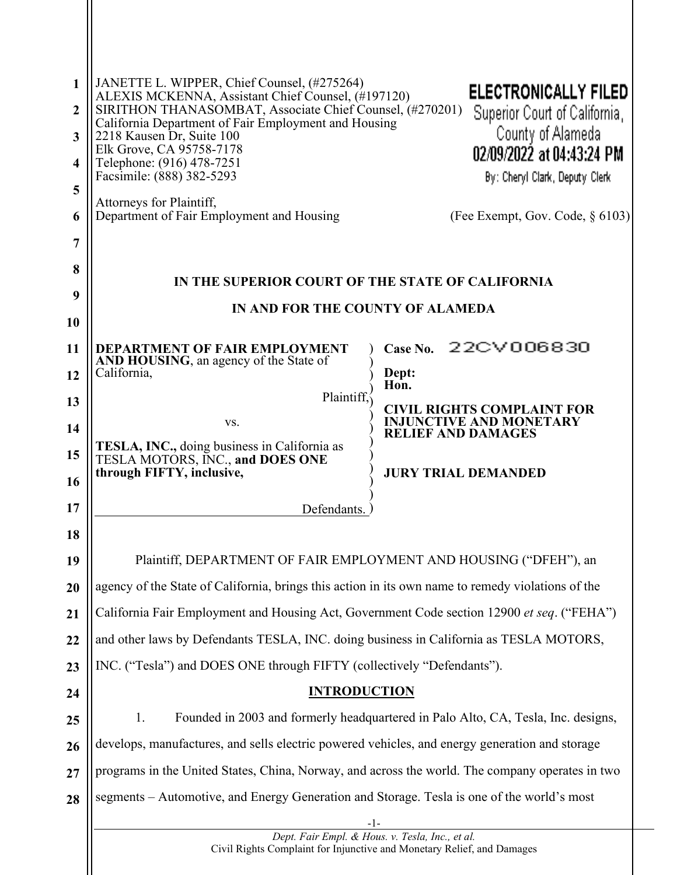| $\mathbf{1}$<br>$\overline{2}$ | JANETTE L. WIPPER, Chief Counsel, (#275264)<br><b>ELECTRONICALLY FILED</b><br>ALEXIS MCKENNA, Assistant Chief Counsel, (#197120)<br>SIRITHON THANASOMBAT, Associate Chief Counsel, (#270201) |                                                             |  |  |
|--------------------------------|----------------------------------------------------------------------------------------------------------------------------------------------------------------------------------------------|-------------------------------------------------------------|--|--|
| 3                              | California Department of Fair Employment and Housing<br>2218 Kausen Dr, Suite 100                                                                                                            | Superior Court of California,<br>County of Alameda          |  |  |
| $\overline{\mathbf{4}}$        | Elk Grove, CA 95758-7178<br>Telephone: (916) 478-7251                                                                                                                                        | 02/09/2022 at 04:43:24 PM                                   |  |  |
| 5                              | Facsimile: (888) 382-5293                                                                                                                                                                    | By: Cheryl Clark, Deputy Clerk                              |  |  |
| 6                              | Attorneys for Plaintiff,<br>Department of Fair Employment and Housing                                                                                                                        | (Fee Exempt, Gov. Code, $\S$ 6103)                          |  |  |
| 7                              |                                                                                                                                                                                              |                                                             |  |  |
| 8                              |                                                                                                                                                                                              |                                                             |  |  |
| 9                              | IN THE SUPERIOR COURT OF THE STATE OF CALIFORNIA                                                                                                                                             |                                                             |  |  |
| 10                             | IN AND FOR THE COUNTY OF ALAMEDA                                                                                                                                                             |                                                             |  |  |
| 11                             | DEPARTMENT OF FAIR EMPLOYMENT<br>Case No.                                                                                                                                                    | 22CV006830                                                  |  |  |
| 12                             | AND HOUSING, an agency of the State of<br>California,<br>Dept:<br>Hon.                                                                                                                       |                                                             |  |  |
| 13                             | Plaintiff.                                                                                                                                                                                   | <b>CIVIL RIGHTS COMPLAINT FOR</b>                           |  |  |
| 14                             | VS.                                                                                                                                                                                          | <b>INJUNCTIVE AND MONETARY</b><br><b>RELIEF AND DAMAGES</b> |  |  |
| 15                             | TESLA, INC., doing business in California as<br>TESLA MOTORS, INC., and DOES ONE                                                                                                             |                                                             |  |  |
| 16                             | through FIFTY, inclusive,                                                                                                                                                                    | <b>JURY TRIAL DEMANDED</b>                                  |  |  |
| 17                             | Defendants.                                                                                                                                                                                  |                                                             |  |  |
| 18                             |                                                                                                                                                                                              |                                                             |  |  |
| 19                             | Plaintiff, DEPARTMENT OF FAIR EMPLOYMENT AND HOUSING ("DFEH"), an                                                                                                                            |                                                             |  |  |
| 20                             | agency of the State of California, brings this action in its own name to remedy violations of the                                                                                            |                                                             |  |  |
| 21                             | California Fair Employment and Housing Act, Government Code section 12900 et seq. ("FEHA")                                                                                                   |                                                             |  |  |
| 22                             | and other laws by Defendants TESLA, INC. doing business in California as TESLA MOTORS,                                                                                                       |                                                             |  |  |
| 23                             | INC. ("Tesla") and DOES ONE through FIFTY (collectively "Defendants").                                                                                                                       |                                                             |  |  |
| 24                             | <b>INTRODUCTION</b>                                                                                                                                                                          |                                                             |  |  |
| 25                             | Founded in 2003 and formerly headquartered in Palo Alto, CA, Tesla, Inc. designs,<br>1.                                                                                                      |                                                             |  |  |
| 26                             | develops, manufactures, and sells electric powered vehicles, and energy generation and storage                                                                                               |                                                             |  |  |
| 27                             | programs in the United States, China, Norway, and across the world. The company operates in two                                                                                              |                                                             |  |  |
| 28                             | segments – Automotive, and Energy Generation and Storage. Tesla is one of the world's most                                                                                                   |                                                             |  |  |
|                                | -1-<br>Dept. Fair Empl. & Hous. v. Tesla, Inc., et al.                                                                                                                                       |                                                             |  |  |
|                                | Civil Rights Complaint for Injunctive and Monetary Relief, and Damages                                                                                                                       |                                                             |  |  |
|                                |                                                                                                                                                                                              |                                                             |  |  |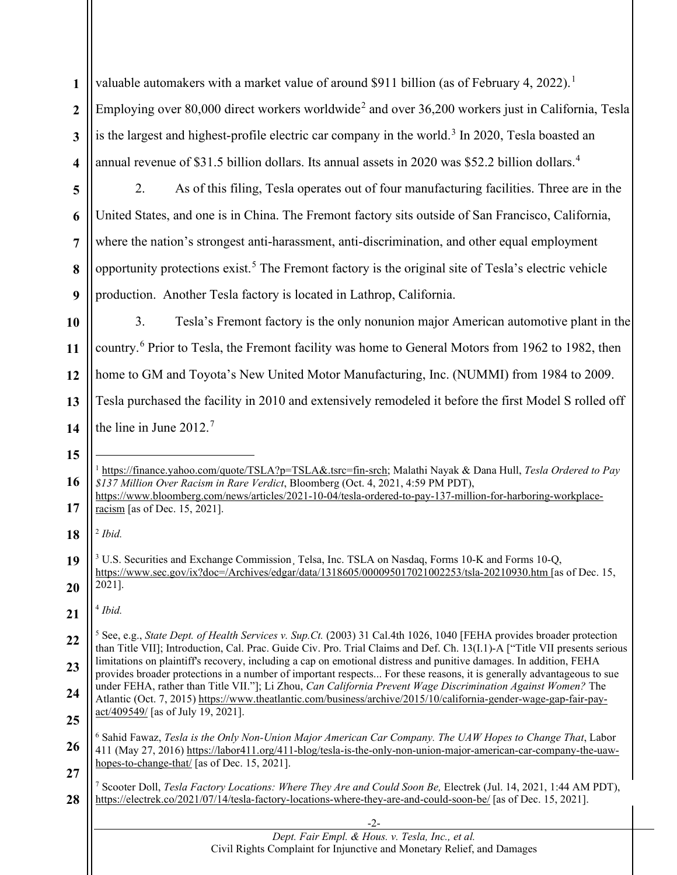**1 2** valuable automakers with a market value of around \$9[1](#page-1-0)1 billion (as of February 4, 2022).<sup>1</sup> Employing over 80,000 direct workers worldwide<sup>[2](#page-1-1)</sup> and over 36,200 workers just in California, Tesla

- **3 4** is the largest and highest-profile electric car company in the world.<sup>[3](#page-1-2)</sup> In 2020, Tesla boasted an annual revenue of \$31.5 billion dollars. Its annual assets in 2020 was \$52.2 billion dollars.<sup>[4](#page-1-3)</sup>
- **5 6 7 8 9** 2. As of this filing, Tesla operates out of four manufacturing facilities. Three are in the United States, and one is in China. The Fremont factory sits outside of San Francisco, California, where the nation's strongest anti-harassment, anti-discrimination, and other equal employment opportunity protections exist. [5](#page-1-4) The Fremont factory is the original site of Tesla's electric vehicle production. Another Tesla factory is located in Lathrop, California.

**10 11 12 13 14** 3. Tesla's Fremont factory is the only nonunion major American automotive plant in the country.[6](#page-1-5) Prior to Tesla, the Fremont facility was home to General Motors from 1962 to 1982, then home to GM and Toyota's New United Motor Manufacturing, Inc. (NUMMI) from 1984 to 2009. Tesla purchased the facility in 2010 and extensively remodeled it before the first Model S rolled off the line in June 2012.<sup>[7](#page-1-6)</sup>

<span id="page-1-1"></span>**18** <sup>2</sup> *Ibid.* 

**15**

<span id="page-1-3"></span>**21** <sup>4</sup> *Ibid.*

| Dept. Fair Empl. & Hous. v. Tesla, Inc., et al.                        |
|------------------------------------------------------------------------|
| Civil Rights Complaint for Injunctive and Monetary Relief, and Damages |

<span id="page-1-0"></span>**<sup>16</sup>** <sup>1</sup> https://finance.yahoo.com/quote/TSLA?p=TSLA&.tsrc=fin-srch; Malathi Nayak & Dana Hull, *Tesla Ordered to Pay \$137 Million Over Racism in Rare Verdict*, Bloomberg (Oct. 4, 2021, 4:59 PM PDT),

**<sup>17</sup>** https://www.bloomberg.com/news/articles/2021-10-04/tesla-ordered-to-pay-137-million-for-harboring-workplaceracism [as of Dec. 15, 2021].

<span id="page-1-2"></span>**<sup>19</sup> 20** <sup>3</sup> U.S. Securities and Exchange Commission, Telsa, Inc. TSLA on Nasdaq, Forms 10-K and Forms 10-Q, https://www.sec.gov/ix?doc=/Archives/edgar/data/1318605/000095017021002253/tsla-20210930.htm [as of Dec. 15, 2021].

<span id="page-1-4"></span>**<sup>22</sup> 23 24 25** <sup>5</sup> See, e.g., *State Dept. of Health Services v. Sup.Ct.* (2003) 31 Cal.4th 1026, 1040 [FEHA provides broader protection than Title VII]; Introduction, Cal. Prac. Guide Civ. Pro. Trial Claims and Def. Ch. 13(I.1)-A ["Title VII presents serious limitations on plaintiff's recovery, including a cap on emotional distress and punitive damages. In addition, FEHA provides broader protections in a number of important respects... For these reasons, it is generally advantageous to sue under FEHA, rather than Title VII."]; Li Zhou, *Can California Prevent Wage Discrimination Against Women?* The Atlantic (Oct. 7, 2015) https://www.theatlantic.com/business/archive/2015/10/california-gender-wage-gap-fair-payact/409549/ [as of July 19, 2021].

<span id="page-1-5"></span>**<sup>26</sup> 27** <sup>6</sup> Sahid Fawaz, *Tesla is the Only Non-Union Major American Car Company. The UAW Hopes to Change That*, Labor 411 (May 27, 2016) https://labor411.org/411-blog/tesla-is-the-only-non-union-major-american-car-company-the-uawhopes-to-change-that/ [as of Dec. 15, 2021].

<span id="page-1-6"></span>**<sup>28</sup>** <sup>7</sup> Scooter Doll, *Tesla Factory Locations: Where They Are and Could Soon Be,* Electrek (Jul. 14, 2021, 1:44 AM PDT), https://electrek.co/2021/07/14/tesla-factory-locations-where-they-are-and-could-soon-be/ [as of Dec. 15, 2021].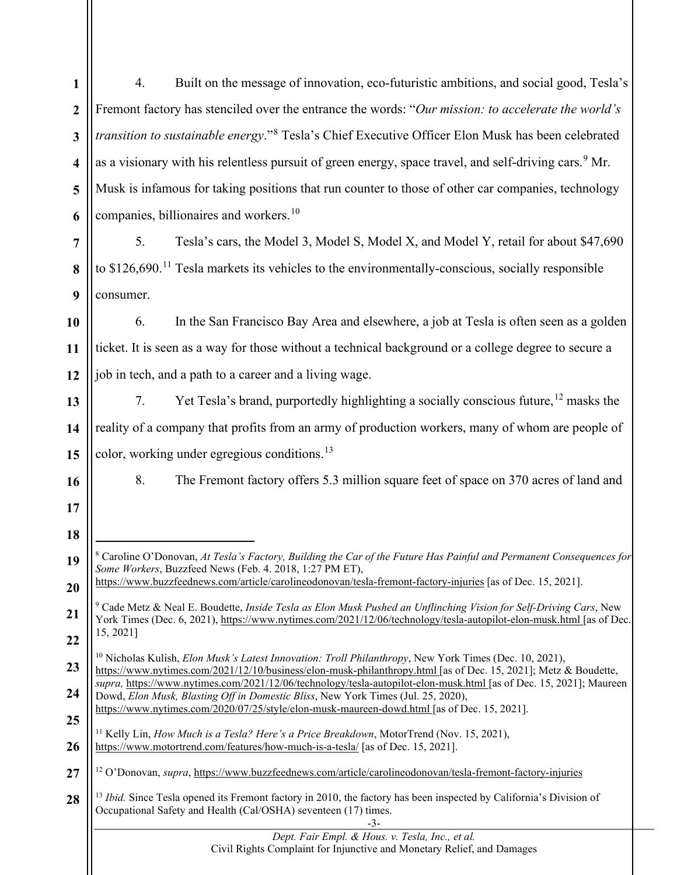<span id="page-2-5"></span><span id="page-2-4"></span><span id="page-2-3"></span><span id="page-2-2"></span><span id="page-2-1"></span><span id="page-2-0"></span>

| $\mathbf{1}$            | Built on the message of innovation, eco-futuristic ambitions, and social good, Tesla's<br>4.                                                                                                                                                                                                          |  |  |  |
|-------------------------|-------------------------------------------------------------------------------------------------------------------------------------------------------------------------------------------------------------------------------------------------------------------------------------------------------|--|--|--|
| $\boldsymbol{2}$        | Fremont factory has stenciled over the entrance the words: "Our mission: to accelerate the world's                                                                                                                                                                                                    |  |  |  |
| $\mathbf{3}$            | transition to sustainable energy." <sup>8</sup> Tesla's Chief Executive Officer Elon Musk has been celebrated                                                                                                                                                                                         |  |  |  |
| $\overline{\mathbf{4}}$ | as a visionary with his relentless pursuit of green energy, space travel, and self-driving cars. <sup>9</sup> Mr.                                                                                                                                                                                     |  |  |  |
| 5                       | Musk is infamous for taking positions that run counter to those of other car companies, technology                                                                                                                                                                                                    |  |  |  |
| 6                       | companies, billionaires and workers. <sup>10</sup>                                                                                                                                                                                                                                                    |  |  |  |
| $\overline{7}$          | Tesla's cars, the Model 3, Model S, Model X, and Model Y, retail for about \$47,690<br>5.                                                                                                                                                                                                             |  |  |  |
| 8                       | to $$126,690$ . <sup>11</sup> Tesla markets its vehicles to the environmentally-conscious, socially responsible                                                                                                                                                                                       |  |  |  |
| 9                       | consumer.                                                                                                                                                                                                                                                                                             |  |  |  |
| 10                      | In the San Francisco Bay Area and elsewhere, a job at Tesla is often seen as a golden<br>6.                                                                                                                                                                                                           |  |  |  |
| 11                      | ticket. It is seen as a way for those without a technical background or a college degree to secure a                                                                                                                                                                                                  |  |  |  |
| 12                      | job in tech, and a path to a career and a living wage.                                                                                                                                                                                                                                                |  |  |  |
| 13                      | Yet Tesla's brand, purportedly highlighting a socially conscious future, <sup>12</sup> masks the<br>7.                                                                                                                                                                                                |  |  |  |
| 14                      | reality of a company that profits from an army of production workers, many of whom are people of                                                                                                                                                                                                      |  |  |  |
| 15                      | color, working under egregious conditions. <sup>13</sup>                                                                                                                                                                                                                                              |  |  |  |
| 16                      | 8.<br>The Fremont factory offers 5.3 million square feet of space on 370 acres of land and                                                                                                                                                                                                            |  |  |  |
| 17                      |                                                                                                                                                                                                                                                                                                       |  |  |  |
| 18                      |                                                                                                                                                                                                                                                                                                       |  |  |  |
| 19                      | <sup>8</sup> Caroline O'Donovan, At Tesla's Factory, Building the Car of the Future Has Painful and Permanent Consequences for<br>Some Workers, Buzzfeed News (Feb. 4. 2018, 1:27 PM ET),                                                                                                             |  |  |  |
| 20                      | https://www.buzzfeednews.com/article/carolineodonovan/tesla-fremont-factory-injuries [as of Dec. 15, 2021].                                                                                                                                                                                           |  |  |  |
| 21                      | <sup>9</sup> Cade Metz & Neal E. Boudette, Inside Tesla as Elon Musk Pushed an Unflinching Vision for Self-Driving Cars, New<br>York Times (Dec. 6, 2021), https://www.nytimes.com/2021/12/06/technology/tesla-autopilot-elon-musk.html [as of Dec.                                                   |  |  |  |
| 22                      | 15, 2021]                                                                                                                                                                                                                                                                                             |  |  |  |
| 23                      | <sup>10</sup> Nicholas Kulish, <i>Elon Musk's Latest Innovation: Troll Philanthropy</i> , New York Times (Dec. 10, 2021),<br>https://www.nytimes.com/2021/12/10/business/elon-musk-philanthropy.html [as of Dec. 15, 2021]; Metz & Boudette,                                                          |  |  |  |
| 24                      | supra, https://www.nytimes.com/2021/12/06/technology/tesla-autopilot-elon-musk.html [as of Dec. 15, 2021]; Maureen<br>Dowd, Elon Musk, Blasting Off in Domestic Bliss, New York Times (Jul. 25, 2020),<br>https://www.nytimes.com/2020/07/25/style/elon-musk-maureen-dowd.html [as of Dec. 15, 2021]. |  |  |  |
| 25                      | <sup>11</sup> Kelly Lin, <i>How Much is a Tesla? Here's a Price Breakdown</i> , MotorTrend (Nov. 15, 2021),                                                                                                                                                                                           |  |  |  |
| 26                      | https://www.motortrend.com/features/how-much-is-a-tesla/ [as of Dec. 15, 2021].                                                                                                                                                                                                                       |  |  |  |
| 27                      | <sup>12</sup> O'Donovan, <i>supra</i> , https://www.buzzfeednews.com/article/carolineodonovan/tesla-fremont-factory-injuries                                                                                                                                                                          |  |  |  |
| 28                      | <sup>13</sup> Ibid. Since Tesla opened its Fremont factory in 2010, the factory has been inspected by California's Division of<br>Occupational Safety and Health (Cal/OSHA) seventeen (17) times.<br>$-3-$                                                                                            |  |  |  |
|                         | Dept. Fair Empl. & Hous. v. Tesla, Inc., et al.<br>Civil Rights Complaint for Injunctive and Monetary Relief, and Damages                                                                                                                                                                             |  |  |  |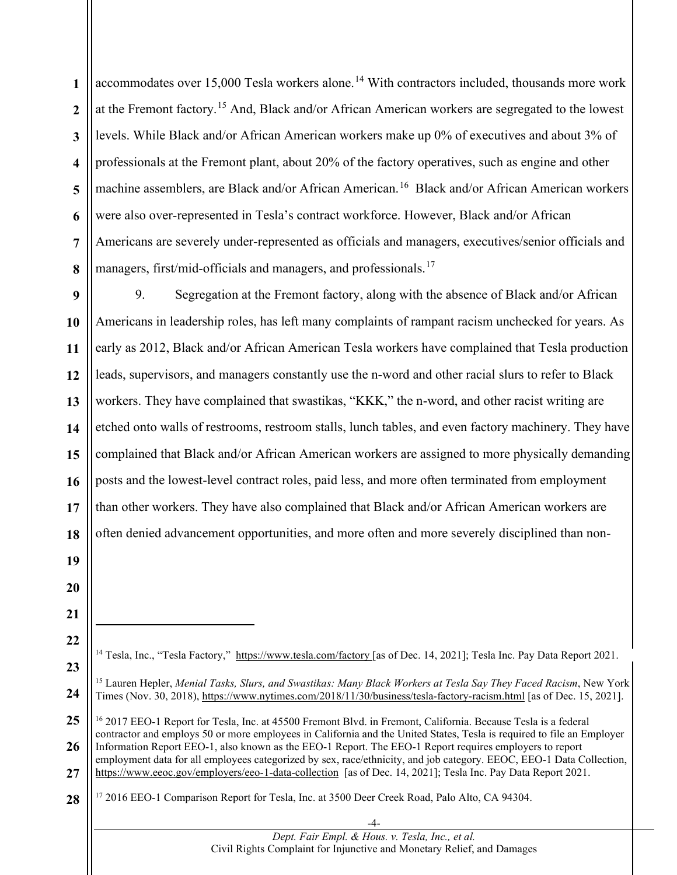**1 2 3 4 5 6 7 8** accommodates over  $15,000$  Tesla workers alone.<sup>[14](#page-3-0)</sup> With contractors included, thousands more work at the Fremont factory.<sup>[15](#page-3-1)</sup> And, Black and/or African American workers are segregated to the lowest levels. While Black and/or African American workers make up 0% of executives and about 3% of professionals at the Fremont plant, about 20% of the factory operatives, such as engine and other machine assemblers, are Black and/or African American.<sup>[16](#page-3-2)</sup> Black and/or African American workers were also over-represented in Tesla's contract workforce. However, Black and/or African Americans are severely under-represented as officials and managers, executives/senior officials and managers, first/mid-officials and managers, and professionals.<sup>[17](#page-3-3)</sup>

**9 10 11 12 13 14 15 16 17 18** 9. Segregation at the Fremont factory, along with the absence of Black and/or African Americans in leadership roles, has left many complaints of rampant racism unchecked for years. As early as 2012, Black and/or African American Tesla workers have complained that Tesla production leads, supervisors, and managers constantly use the n-word and other racial slurs to refer to Black workers. They have complained that swastikas, "KKK," the n-word, and other racist writing are etched onto walls of restrooms, restroom stalls, lunch tables, and even factory machinery. They have complained that Black and/or African American workers are assigned to more physically demanding posts and the lowest-level contract roles, paid less, and more often terminated from employment than other workers. They have also complained that Black and/or African American workers are often denied advancement opportunities, and more often and more severely disciplined than non-

**21 22**

**19**

**20**

- <span id="page-3-0"></span>**23** <sup>14</sup> Tesla, Inc., "Tesla Factory," https://www.tesla.com/factory [as of Dec. 14, 2021]; Tesla Inc. Pay Data Report 2021.
- <span id="page-3-1"></span>**24** <sup>15</sup> Lauren Hepler, *Menial Tasks, Slurs, and Swastikas: Many Black Workers at Tesla Say They Faced Racism*, New York Times (Nov. 30, 2018), https://www.nytimes.com/2018/11/30/business/tesla-factory-racism.html [as of Dec. 15, 2021].

-4- *Dept. Fair Empl. & Hous. v. Tesla, Inc., et al.*  Civil Rights Complaint for Injunctive and Monetary Relief, and Damages

<span id="page-3-2"></span>**<sup>25</sup> 26 27** <sup>16</sup> 2017 EEO-1 Report for Tesla, Inc. at 45500 Fremont Blvd. in Fremont, California. Because Tesla is a federal contractor and employs 50 or more employees in California and the United States, Tesla is required to file an Employer Information Report EEO-1, also known as the EEO-1 Report. The EEO-1 Report requires employers to report employment data for all employees categorized by sex, race/ethnicity, and job category. EEOC, EEO-1 Data Collection, https://www.eeoc.gov/employers/eeo-1-data-collection [as of Dec. 14, 2021]; Tesla Inc. Pay Data Report 2021.

<span id="page-3-3"></span>**<sup>28</sup>** <sup>17</sup> 2016 EEO-1 Comparison Report for Tesla, Inc. at 3500 Deer Creek Road, Palo Alto, CA 94304.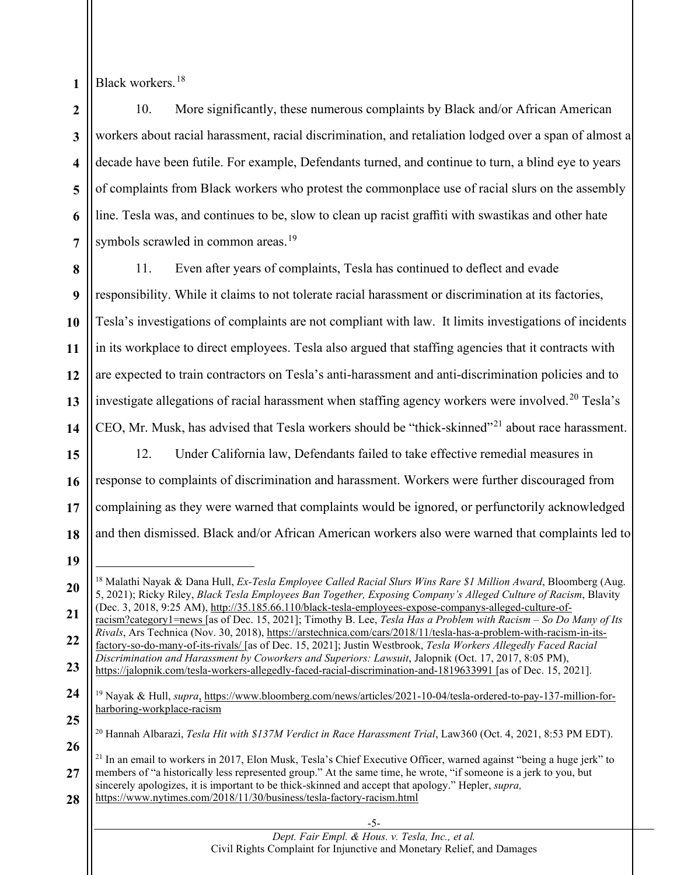**1** Black workers.[18](#page-4-0)

**2 3 4 5 6 7** 10. More significantly, these numerous complaints by Black and/or African American workers about racial harassment, racial discrimination, and retaliation lodged over a span of almost a decade have been futile. For example, Defendants turned, and continue to turn, a blind eye to years of complaints from Black workers who protest the commonplace use of racial slurs on the assembly line. Tesla was, and continues to be, slow to clean up racist graffiti with swastikas and other hate symbols scrawled in common areas.<sup>[19](#page-4-1)</sup>

**8 9 10 11 12** 11. Even after years of complaints, Tesla has continued to deflect and evade responsibility. While it claims to not tolerate racial harassment or discrimination at its factories, Tesla's investigations of complaints are not compliant with law. It limits investigations of incidents in its workplace to direct employees. Tesla also argued that staffing agencies that it contracts with are expected to train contractors on Tesla's anti-harassment and anti-discrimination policies and to investigate allegations of racial harassment when staffing agency workers were involved.<sup>[20](#page-4-2)</sup> Tesla's CEO, Mr. Musk, has advised that Tesla workers should be "thick-skinned"[21](#page-4-3) about race harassment.

12. Under California law, Defendants failed to take effective remedial measures in response to complaints of discrimination and harassment. Workers were further discouraged from complaining as they were warned that complaints would be ignored, or perfunctorily acknowledged and then dismissed. Black and/or African American workers also were warned that complaints led to

- **23** factory-so-do-many-of-its-rivals/ [as of Dec. 15, 2021]; Justin Westbrook, *Tesla Workers Allegedly Faced Racial Discrimination and Harassment by Coworkers and Superiors: Lawsuit*, Jalopnik (Oct. 17, 2017, 8:05 PM), https://jalopnik.com/tesla-workers-allegedly-faced-racial-discrimination-and-1819633991 [as of Dec. 15, 2021].
- <span id="page-4-1"></span>**24** <sup>19</sup> Nayak & Hull, *supra*, https://www.bloomberg.com/news/articles/2021-10-04/tesla-ordered-to-pay-137-million-forharboring-workplace-racism
- <span id="page-4-2"></span>**25 26** <sup>20</sup> Hannah Albarazi, *Tesla Hit with \$137M Verdict in Race Harassment Trial*, Law360 (Oct. 4, 2021, 8:53 PM EDT).
- <span id="page-4-3"></span>**27 28** <sup>21</sup> In an email to workers in 2017, Elon Musk, Tesla's Chief Executive Officer, warned against "being a huge jerk" to members of "a historically less represented group." At the same time, he wrote, "if someone is a jerk to you, but sincerely apologizes, it is important to be thick-skinned and accept that apology." Hepler, *supra,* https://www.nytimes.com/2018/11/30/business/tesla-factory-racism.html
	- -5- *Dept. Fair Empl. & Hous. v. Tesla, Inc., et al.*  Civil Rights Complaint for Injunctive and Monetary Relief, and Damages
- **13 14 15 16 17 18 20 21 22**
- 

<span id="page-4-0"></span><sup>18</sup> Malathi Nayak & Dana Hull, *Ex-Tesla Employee Called Racial Slurs Wins Rare \$1 Million Award*, Bloomberg (Aug. 5, 2021); Ricky Riley, *Black Tesla Employees Ban Together, Exposing Company's Alleged Culture of Racism*, Blavity (Dec. 3, 2018, 9:25 AM), http://35.185.66.110/black-tesla-employees-expose-companys-alleged-culture-ofracism?category1=news [as of Dec. 15, 2021]; Timothy B. Lee, *Tesla Has a Problem with Racism – So Do Many of Its Rivals*, Ars Technica (Nov. 30, 2018), https://arstechnica.com/cars/2018/11/tesla-has-a-problem-with-racism-in-its-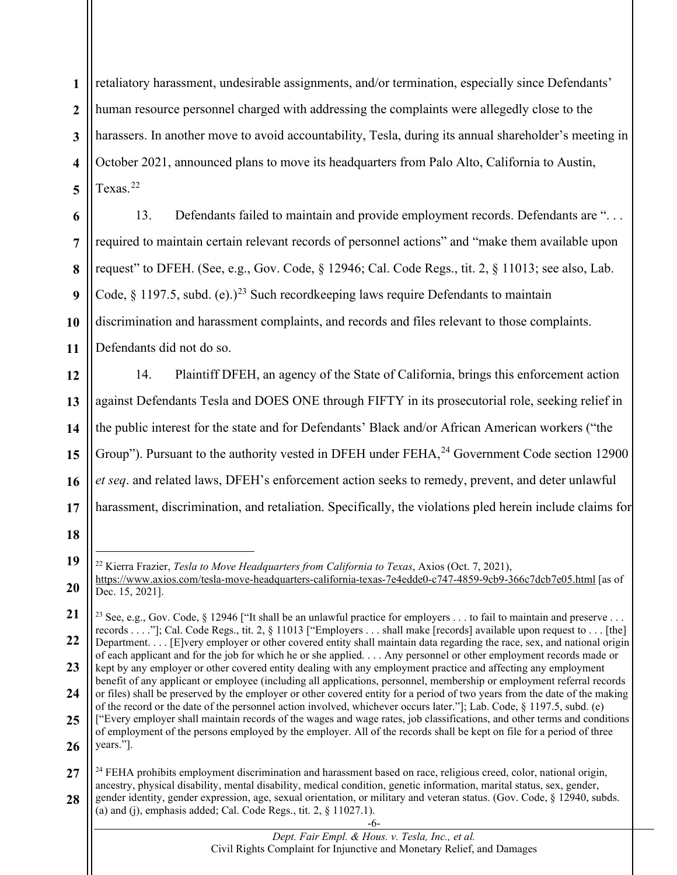**1 2 3 4 5** retaliatory harassment, undesirable assignments, and/or termination, especially since Defendants' human resource personnel charged with addressing the complaints were allegedly close to the harassers. In another move to avoid accountability, Tesla, during its annual shareholder's meeting in October 2021, announced plans to move its headquarters from Palo Alto, California to Austin, Texas.<sup>[22](#page-5-0)</sup>

**6 7 8 9 10 11** 13. Defendants failed to maintain and provide employment records. Defendants are ". . . required to maintain certain relevant records of personnel actions" and "make them available upon request" to DFEH. (See, e.g., Gov. Code, § 12946; Cal. Code Regs., tit. 2, § 11013; see also, Lab. Code,  $\S$  1197.5, subd. (e).)<sup>[23](#page-5-1)</sup> Such recordkeeping laws require Defendants to maintain discrimination and harassment complaints, and records and files relevant to those complaints. Defendants did not do so.

**12 13 14 15 16 17** 14. Plaintiff DFEH, an agency of the State of California, brings this enforcement action against Defendants Tesla and DOES ONE through FIFTY in its prosecutorial role, seeking relief in the public interest for the state and for Defendants' Black and/or African American workers ("the Group"). Pursuant to the authority vested in DFEH under FEHA,<sup>[24](#page-5-2)</sup> Government Code section 12900 *et seq*. and related laws, DFEH's enforcement action seeks to remedy, prevent, and deter unlawful harassment, discrimination, and retaliation. Specifically, the violations pled herein include claims for

**<sup>19</sup>**

<span id="page-5-0"></span>**<sup>20</sup>** <sup>22</sup> Kierra Frazier, *Tesla to Move Headquarters from California to Texas*, Axios (Oct. 7, 2021), https://www.axios.com/tesla-move-headquarters-california-texas-7e4edde0-c747-4859-9cb9-366c7dcb7e05.html [as of Dec. 15, 2021].

<span id="page-5-1"></span>**<sup>21</sup> 22** <sup>23</sup> See, e.g., Gov. Code, § 12946 ["It shall be an unlawful practice for employers . . . to fail to maintain and preserve . . . records . . . ."]; Cal. Code Regs., tit. 2, § 11013 ["Employers . . . shall make [records] available upon request to . . . [the] Department. . . . [E]very employer or other covered entity shall maintain data regarding the race, sex, and national origin

**<sup>23</sup> 24** of each applicant and for the job for which he or she applied. . . . Any personnel or other employment records made or kept by any employer or other covered entity dealing with any employment practice and affecting any employment benefit of any applicant or employee (including all applications, personnel, membership or employment referral records or files) shall be preserved by the employer or other covered entity for a period of two years from the date of the making

**<sup>25</sup> 26** of the record or the date of the personnel action involved, whichever occurs later."]; Lab. Code, § 1197.5, subd. (e) ["Every employer shall maintain records of the wages and wage rates, job classifications, and other terms and conditions of employment of the persons employed by the employer. All of the records shall be kept on file for a period of three years."].

<span id="page-5-2"></span>**<sup>27</sup> 28** <sup>24</sup> FEHA prohibits employment discrimination and harassment based on race, religious creed, color, national origin, ancestry, physical disability, mental disability, medical condition, genetic information, marital status, sex, gender, gender identity, gender expression, age, sexual orientation, or military and veteran status. (Gov. Code, § 12940, subds. (a) and (j), emphasis added; Cal. Code Regs., tit.  $2, \, \frac{1027.1}{$ .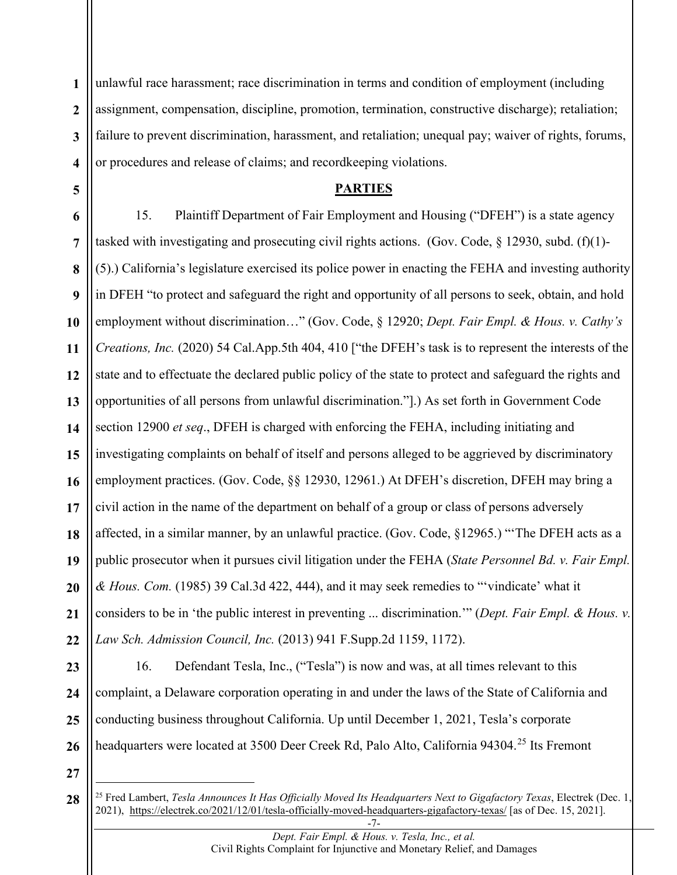**1 2 3 4** unlawful race harassment; race discrimination in terms and condition of employment (including assignment, compensation, discipline, promotion, termination, constructive discharge); retaliation; failure to prevent discrimination, harassment, and retaliation; unequal pay; waiver of rights, forums, or procedures and release of claims; and recordkeeping violations.

#### **PARTIES**

**6 7 8 9 10 11 12 13 14 15 16 17 18 19 20 21 22** 15. Plaintiff Department of Fair Employment and Housing ("DFEH") is a state agency tasked with investigating and prosecuting civil rights actions. (Gov. Code,  $\S$  12930, subd. (f)(1)-(5).) California's legislature exercised its police power in enacting the FEHA and investing authority in DFEH "to protect and safeguard the right and opportunity of all persons to seek, obtain, and hold employment without discrimination…" (Gov. Code, § 12920; *Dept. Fair Empl. & Hous. v. Cathy's Creations, Inc.* (2020) 54 Cal.App.5th 404, 410 ["the DFEH's task is to represent the interests of the state and to effectuate the declared public policy of the state to protect and safeguard the rights and opportunities of all persons from unlawful discrimination."].) As set forth in Government Code section 12900 *et seq*., DFEH is charged with enforcing the FEHA, including initiating and investigating complaints on behalf of itself and persons alleged to be aggrieved by discriminatory employment practices. (Gov. Code, §§ 12930, 12961.) At DFEH's discretion, DFEH may bring a civil action in the name of the department on behalf of a group or class of persons adversely affected, in a similar manner, by an unlawful practice. (Gov. Code, §12965.) "'The DFEH acts as a public prosecutor when it pursues civil litigation under the FEHA (*State Personnel Bd. v. Fair Empl. & Hous. Com.* (1985) 39 Cal.3d 422, 444), and it may seek remedies to "'vindicate' what it considers to be in 'the public interest in preventing ... discrimination.'" (*Dept. Fair Empl. & Hous. v. Law Sch. Admission Council, Inc.* (2013) 941 F.Supp.2d 1159, 1172).

**23 24 25 26** 16. Defendant Tesla, Inc., ("Tesla") is now and was, at all times relevant to this complaint, a Delaware corporation operating in and under the laws of the State of California and conducting business throughout California. Up until December 1, 2021, Tesla's corporate headquarters were located at 3500 Deer Creek Rd, Palo Alto, California 94304.<sup>[25](#page-6-0)</sup> Its Fremont

**27**

<span id="page-6-0"></span><sup>-7-</sup> **28** <sup>25</sup> Fred Lambert, *Tesla Announces It Has Officially Moved Its Headquarters Next to Gigafactory Texas*, Electrek (Dec. 1, 2021), https://electrek.co/2021/12/01/tesla-officially-moved-headquarters-gigafactory-texas/ [as of Dec. 15, 2021].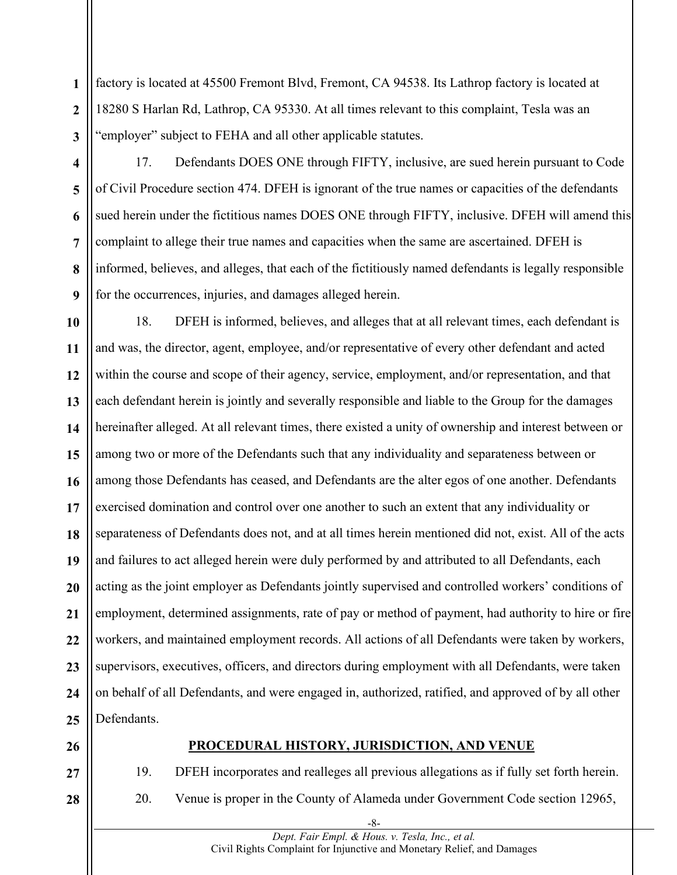**1 2 3** factory is located at 45500 Fremont Blvd, Fremont, CA 94538. Its Lathrop factory is located at 18280 S Harlan Rd, Lathrop, CA 95330. At all times relevant to this complaint, Tesla was an "employer" subject to FEHA and all other applicable statutes.

**4**

**5**

**6**

**7**

**8**

**9**

17. Defendants DOES ONE through FIFTY, inclusive, are sued herein pursuant to Code of Civil Procedure section 474. DFEH is ignorant of the true names or capacities of the defendants sued herein under the fictitious names DOES ONE through FIFTY, inclusive. DFEH will amend this complaint to allege their true names and capacities when the same are ascertained. DFEH is informed, believes, and alleges, that each of the fictitiously named defendants is legally responsible for the occurrences, injuries, and damages alleged herein.

**10 11 12 13 14 15 16 17 18 19 20 21 22 23 24 25** 18. DFEH is informed, believes, and alleges that at all relevant times, each defendant is and was, the director, agent, employee, and/or representative of every other defendant and acted within the course and scope of their agency, service, employment, and/or representation, and that each defendant herein is jointly and severally responsible and liable to the Group for the damages hereinafter alleged. At all relevant times, there existed a unity of ownership and interest between or among two or more of the Defendants such that any individuality and separateness between or among those Defendants has ceased, and Defendants are the alter egos of one another. Defendants exercised domination and control over one another to such an extent that any individuality or separateness of Defendants does not, and at all times herein mentioned did not, exist. All of the acts and failures to act alleged herein were duly performed by and attributed to all Defendants, each acting as the joint employer as Defendants jointly supervised and controlled workers' conditions of employment, determined assignments, rate of pay or method of payment, had authority to hire or fire workers, and maintained employment records. All actions of all Defendants were taken by workers, supervisors, executives, officers, and directors during employment with all Defendants, were taken on behalf of all Defendants, and were engaged in, authorized, ratified, and approved of by all other Defendants.

**26**

**27**

**28**

#### **PROCEDURAL HISTORY, JURISDICTION, AND VENUE**

19. DFEH incorporates and realleges all previous allegations as if fully set forth herein. 20. Venue is proper in the County of Alameda under Government Code section 12965,

> -8- *Dept. Fair Empl. & Hous. v. Tesla, Inc., et al.*  Civil Rights Complaint for Injunctive and Monetary Relief, and Damages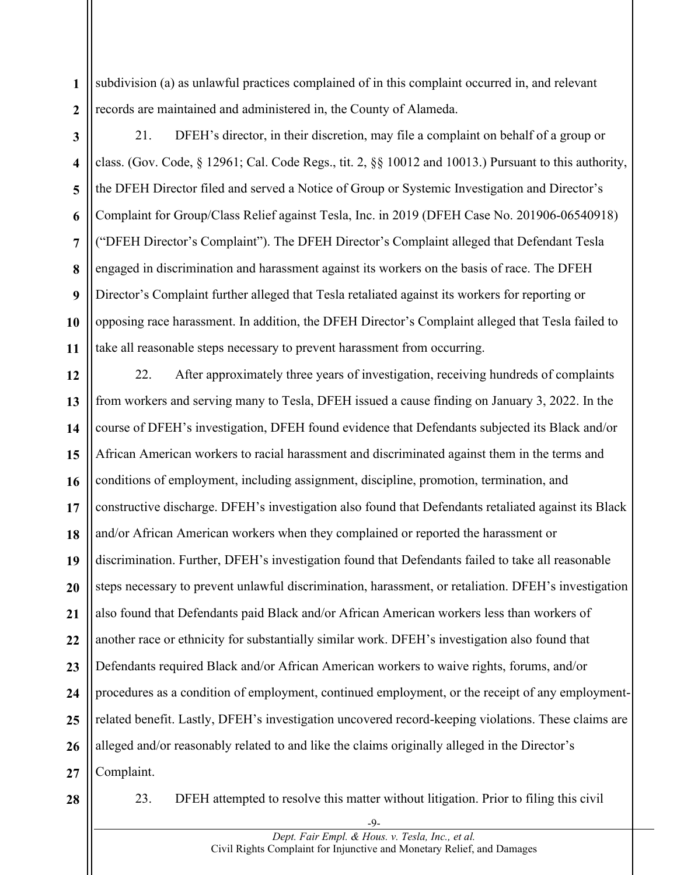**1 2** subdivision (a) as unlawful practices complained of in this complaint occurred in, and relevant records are maintained and administered in, the County of Alameda.

**3 4 5 6 7 8 9 10 11** 21. DFEH's director, in their discretion, may file a complaint on behalf of a group or class. (Gov. Code, § 12961; Cal. Code Regs., tit. 2, §§ 10012 and 10013.) Pursuant to this authority, the DFEH Director filed and served a Notice of Group or Systemic Investigation and Director's Complaint for Group/Class Relief against Tesla, Inc. in 2019 (DFEH Case No. 201906-06540918) ("DFEH Director's Complaint"). The DFEH Director's Complaint alleged that Defendant Tesla engaged in discrimination and harassment against its workers on the basis of race. The DFEH Director's Complaint further alleged that Tesla retaliated against its workers for reporting or opposing race harassment. In addition, the DFEH Director's Complaint alleged that Tesla failed to take all reasonable steps necessary to prevent harassment from occurring.

**12 13 14 15 16 17 18 19 20 21 22 23 24 25 26 27** 22. After approximately three years of investigation, receiving hundreds of complaints from workers and serving many to Tesla, DFEH issued a cause finding on January 3, 2022. In the course of DFEH's investigation, DFEH found evidence that Defendants subjected its Black and/or African American workers to racial harassment and discriminated against them in the terms and conditions of employment, including assignment, discipline, promotion, termination, and constructive discharge. DFEH's investigation also found that Defendants retaliated against its Black and/or African American workers when they complained or reported the harassment or discrimination. Further, DFEH's investigation found that Defendants failed to take all reasonable steps necessary to prevent unlawful discrimination, harassment, or retaliation. DFEH's investigation also found that Defendants paid Black and/or African American workers less than workers of another race or ethnicity for substantially similar work. DFEH's investigation also found that Defendants required Black and/or African American workers to waive rights, forums, and/or procedures as a condition of employment, continued employment, or the receipt of any employmentrelated benefit. Lastly, DFEH's investigation uncovered record-keeping violations. These claims are alleged and/or reasonably related to and like the claims originally alleged in the Director's Complaint.

**28**

23. DFEH attempted to resolve this matter without litigation. Prior to filing this civil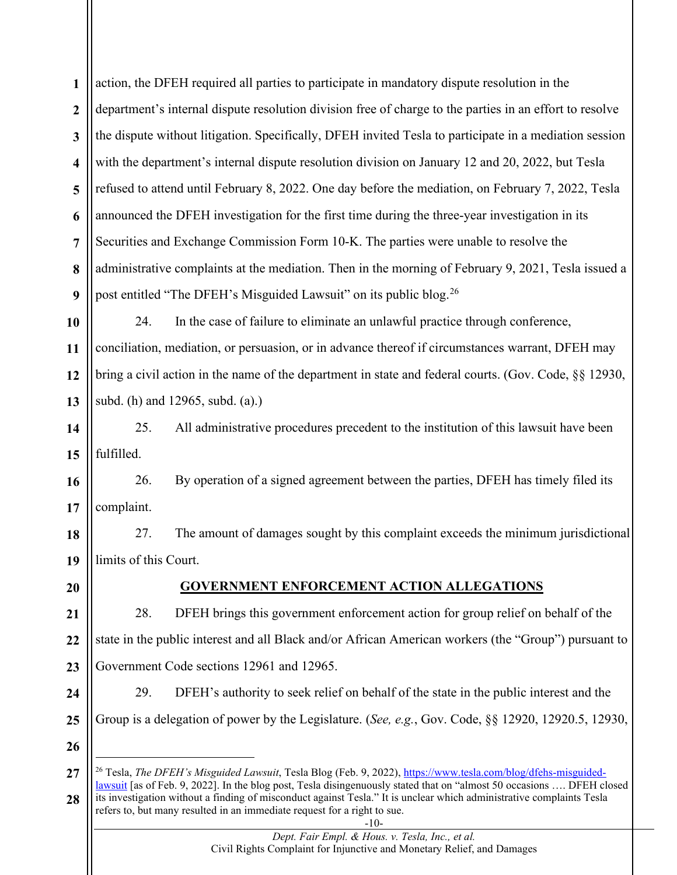**1 2 3 4 5 6 7 8 9** action, the DFEH required all parties to participate in mandatory dispute resolution in the department's internal dispute resolution division free of charge to the parties in an effort to resolve the dispute without litigation. Specifically, DFEH invited Tesla to participate in a mediation session with the department's internal dispute resolution division on January 12 and 20, 2022, but Tesla refused to attend until February 8, 2022. One day before the mediation, on February 7, 2022, Tesla announced the DFEH investigation for the first time during the three-year investigation in its Securities and Exchange Commission Form 10-K. The parties were unable to resolve the administrative complaints at the mediation. Then in the morning of February 9, 2021, Tesla issued a post entitled "The DFEH's Misguided Lawsuit" on its public blog.[26](#page-9-0)

**10 11 12 13** 24. In the case of failure to eliminate an unlawful practice through conference, conciliation, mediation, or persuasion, or in advance thereof if circumstances warrant, DFEH may bring a civil action in the name of the department in state and federal courts. (Gov. Code, §§ 12930, subd. (h) and 12965, subd. (a).)

**14 15** 25. All administrative procedures precedent to the institution of this lawsuit have been fulfilled.

**16 17** 26. By operation of a signed agreement between the parties, DFEH has timely filed its complaint.

**18 19** 27. The amount of damages sought by this complaint exceeds the minimum jurisdictional limits of this Court.

**20**

### **GOVERNMENT ENFORCEMENT ACTION ALLEGATIONS**

**21 22 23** 28. DFEH brings this government enforcement action for group relief on behalf of the state in the public interest and all Black and/or African American workers (the "Group") pursuant to Government Code sections 12961 and 12965.

**24 25**

29. DFEH's authority to seek relief on behalf of the state in the public interest and the Group is a delegation of power by the Legislature. (*See, e.g.*, Gov. Code, §§ 12920, 12920.5, 12930,

<span id="page-9-0"></span>**<sup>27</sup> 28** <sup>26</sup> Tesla, *The DFEH's Misguided Lawsuit*, Tesla Blog (Feb. 9, 2022), https://www.tesla.com/blog/dfehs-misguidedlawsuit [as of Feb. 9, 2022]. In the blog post, Tesla disingenuously stated that on "almost 50 occasions …. DFEH closed its investigation without a finding of misconduct against Tesla." It is unclear which administrative complaints Tesla refers to, but many resulted in an immediate request for a right to sue.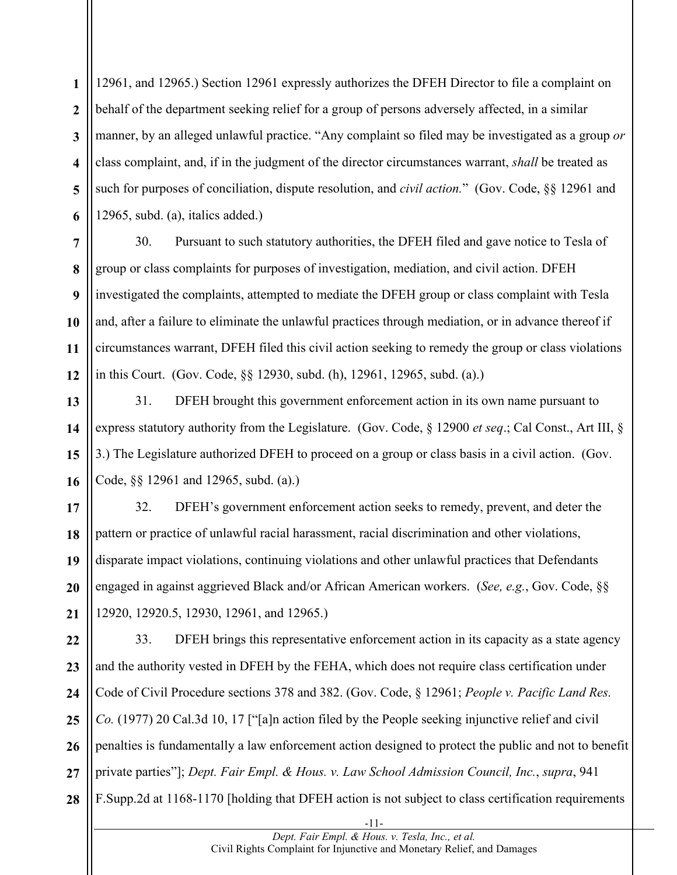**1 2 3 4 5 6** 12961, and 12965.) Section 12961 expressly authorizes the DFEH Director to file a complaint on behalf of the department seeking relief for a group of persons adversely affected, in a similar manner, by an alleged unlawful practice. "Any complaint so filed may be investigated as a group *or* class complaint, and, if in the judgment of the director circumstances warrant, *shall* be treated as such for purposes of conciliation, dispute resolution, and *civil action.*" (Gov. Code, §§ 12961 and 12965, subd. (a), italics added.)

**7 8 9 10 11 12** 30. Pursuant to such statutory authorities, the DFEH filed and gave notice to Tesla of group or class complaints for purposes of investigation, mediation, and civil action. DFEH investigated the complaints, attempted to mediate the DFEH group or class complaint with Tesla and, after a failure to eliminate the unlawful practices through mediation, or in advance thereof if circumstances warrant, DFEH filed this civil action seeking to remedy the group or class violations in this Court. (Gov. Code, §§ 12930, subd. (h), 12961, 12965, subd. (a).)

**13 14 15 16** 31. DFEH brought this government enforcement action in its own name pursuant to express statutory authority from the Legislature. (Gov. Code, § 12900 *et seq*.; Cal Const., Art III, § 3.) The Legislature authorized DFEH to proceed on a group or class basis in a civil action. (Gov. Code, §§ 12961 and 12965, subd. (a).)

**17 18 19 20 21** 32. DFEH's government enforcement action seeks to remedy, prevent, and deter the pattern or practice of unlawful racial harassment, racial discrimination and other violations, disparate impact violations, continuing violations and other unlawful practices that Defendants engaged in against aggrieved Black and/or African American workers. (*See, e.g.*, Gov. Code, §§ 12920, 12920.5, 12930, 12961, and 12965.)

**22 23 24 25 26 27 28** 33. DFEH brings this representative enforcement action in its capacity as a state agency and the authority vested in DFEH by the FEHA, which does not require class certification under Code of Civil Procedure sections 378 and 382. (Gov. Code, § 12961; *People v. Pacific Land Res. Co.* (1977) 20 Cal.3d 10, 17 ["[a]n action filed by the People seeking injunctive relief and civil penalties is fundamentally a law enforcement action designed to protect the public and not to benefit private parties"]; *Dept. Fair Empl. & Hous. v. Law School Admission Council, Inc.*, *supra*, 941 F.Supp.2d at 1168-1170 [holding that DFEH action is not subject to class certification requirements

> -11- *Dept. Fair Empl. & Hous. v. Tesla, Inc., et al.*  Civil Rights Complaint for Injunctive and Monetary Relief, and Damages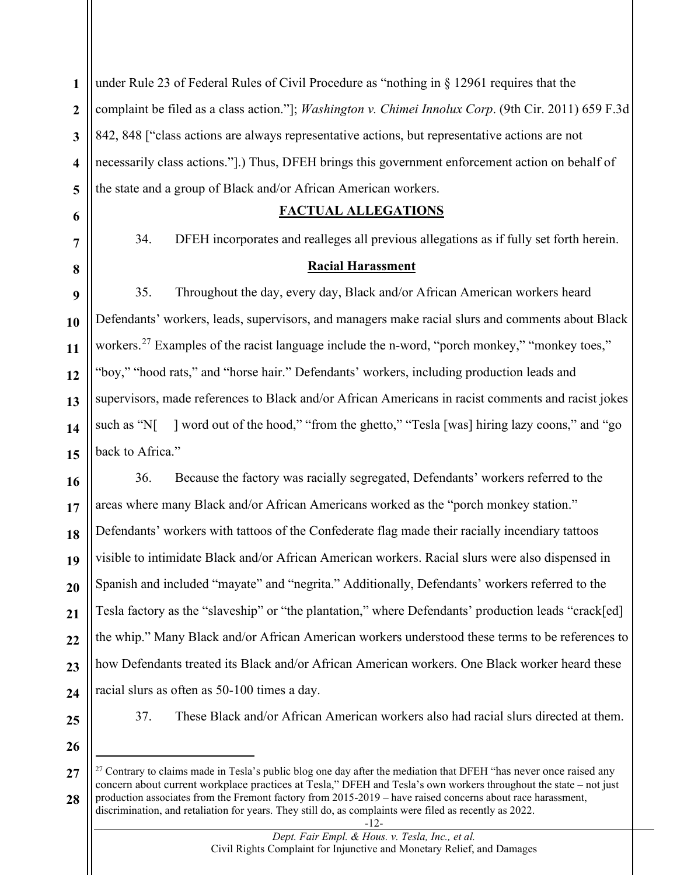**1 2 3 4 5** under Rule 23 of Federal Rules of Civil Procedure as "nothing in § 12961 requires that the complaint be filed as a class action."]; *Washington v. Chimei Innolux Corp*. (9th Cir. 2011) 659 F.3d 842, 848 ["class actions are always representative actions, but representative actions are not necessarily class actions."].) Thus, DFEH brings this government enforcement action on behalf of the state and a group of Black and/or African American workers.

#### **FACTUAL ALLEGATIONS**

34. DFEH incorporates and realleges all previous allegations as if fully set forth herein.

#### **Racial Harassment**

35. Throughout the day, every day, Black and/or African American workers heard Defendants' workers, leads, supervisors, and managers make racial slurs and comments about Black workers.<sup>[27](#page-11-0)</sup> Examples of the racist language include the n-word, "porch monkey," "monkey toes," "boy," "hood rats," and "horse hair." Defendants' workers, including production leads and supervisors, made references to Black and/or African Americans in racist comments and racist jokes such as "N[ ] word out of the hood," "from the ghetto," "Tesla [was] hiring lazy coons," and "go back to Africa."

**16 17 18 19 20 21 22 23 24** 36. Because the factory was racially segregated, Defendants' workers referred to the areas where many Black and/or African Americans worked as the "porch monkey station." Defendants' workers with tattoos of the Confederate flag made their racially incendiary tattoos visible to intimidate Black and/or African American workers. Racial slurs were also dispensed in Spanish and included "mayate" and "negrita." Additionally, Defendants' workers referred to the Tesla factory as the "slaveship" or "the plantation," where Defendants' production leads "crack[ed] the whip." Many Black and/or African American workers understood these terms to be references to how Defendants treated its Black and/or African American workers. One Black worker heard these racial slurs as often as 50-100 times a day.

**25**

**6**

**7**

**8**

**9**

**10**

**11**

**12**

**13**

**14**

**15**

37. These Black and/or African American workers also had racial slurs directed at them.

**26**

<span id="page-11-0"></span>**27 28** <sup>27</sup> Contrary to claims made in Tesla's public blog one day after the mediation that DFEH "has never once raised any concern about current workplace practices at Tesla," DFEH and Tesla's own workers throughout the state – not just production associates from the Fremont factory from 2015-2019 – have raised concerns about race harassment, discrimination, and retaliation for years. They still do, as complaints were filed as recently as 2022.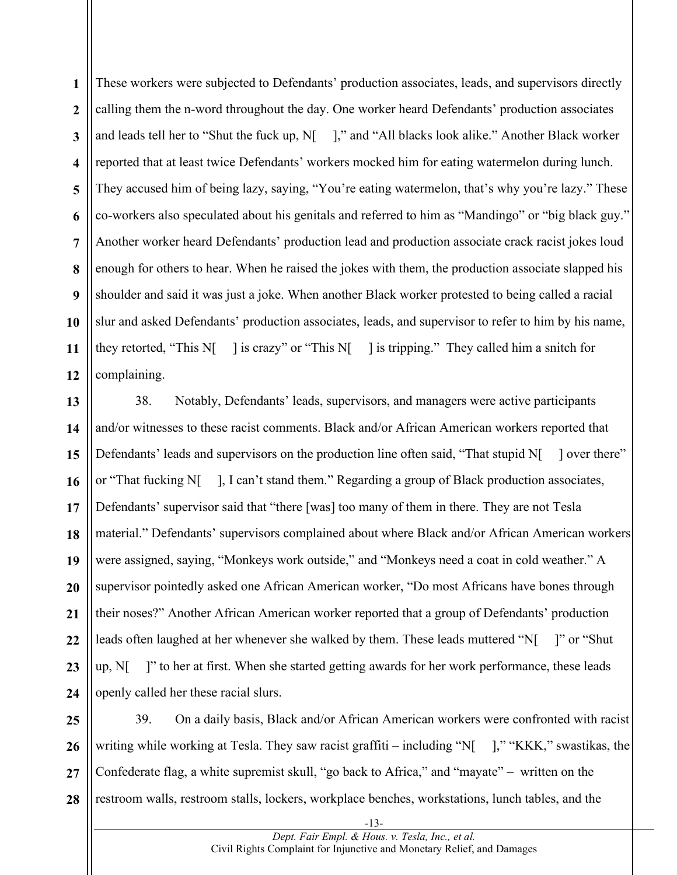**1 2 3 4 5 6 7 8 9 10 11 12** These workers were subjected to Defendants' production associates, leads, and supervisors directly calling them the n-word throughout the day. One worker heard Defendants' production associates and leads tell her to "Shut the fuck up, N[ ]," and "All blacks look alike." Another Black worker reported that at least twice Defendants' workers mocked him for eating watermelon during lunch. They accused him of being lazy, saying, "You're eating watermelon, that's why you're lazy." These co-workers also speculated about his genitals and referred to him as "Mandingo" or "big black guy." Another worker heard Defendants' production lead and production associate crack racist jokes loud enough for others to hear. When he raised the jokes with them, the production associate slapped his shoulder and said it was just a joke. When another Black worker protested to being called a racial slur and asked Defendants' production associates, leads, and supervisor to refer to him by his name, they retorted, "This N[ ] is crazy" or "This N[ ] is tripping." They called him a snitch for complaining.

**13 14 15 16 17 18 19 20 21 22 23 24** 38. Notably, Defendants' leads, supervisors, and managers were active participants and/or witnesses to these racist comments. Black and/or African American workers reported that Defendants' leads and supervisors on the production line often said, "That stupid N[ ] over there" or "That fucking N[ ], I can't stand them." Regarding a group of Black production associates, Defendants' supervisor said that "there [was] too many of them in there. They are not Tesla material." Defendants' supervisors complained about where Black and/or African American workers were assigned, saying, "Monkeys work outside," and "Monkeys need a coat in cold weather." A supervisor pointedly asked one African American worker, "Do most Africans have bones through their noses?" Another African American worker reported that a group of Defendants' production leads often laughed at her whenever she walked by them. These leads muttered "N[ ]" or "Shut up, N[ ]" to her at first. When she started getting awards for her work performance, these leads openly called her these racial slurs.

**25 26 27 28** 39. On a daily basis, Black and/or African American workers were confronted with racist writing while working at Tesla. They saw racist graffiti – including "N[ ]," "KKK," swastikas, the Confederate flag, a white supremist skull, "go back to Africa," and "mayate" – written on the restroom walls, restroom stalls, lockers, workplace benches, workstations, lunch tables, and the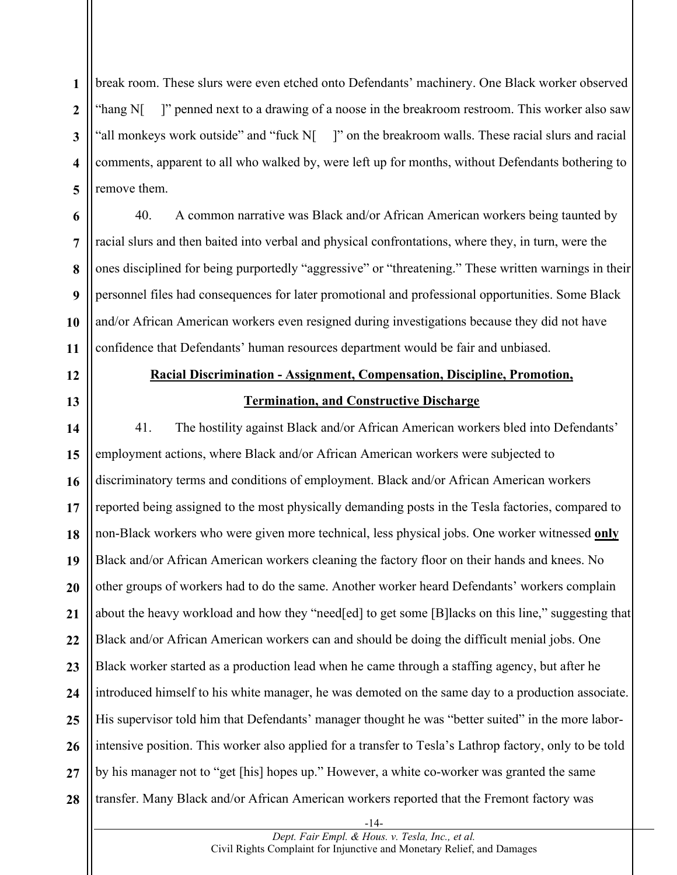**1 2 3 4 5** break room. These slurs were even etched onto Defendants' machinery. One Black worker observed "hang N[ ]" penned next to a drawing of a noose in the breakroom restroom. This worker also saw 'all monkeys work outside" and "fuck N[ ]" on the breakroom walls. These racial slurs and racial comments, apparent to all who walked by, were left up for months, without Defendants bothering to remove them.

40. A common narrative was Black and/or African American workers being taunted by racial slurs and then baited into verbal and physical confrontations, where they, in turn, were the ones disciplined for being purportedly "aggressive" or "threatening." These written warnings in their personnel files had consequences for later promotional and professional opportunities. Some Black and/or African American workers even resigned during investigations because they did not have confidence that Defendants' human resources department would be fair and unbiased.

**12**

**13**

**6**

**7**

**8**

**9**

**10**

**11**

**Racial Discrimination - Assignment, Compensation, Discipline, Promotion, Termination, and Constructive Discharge**

**14 15 16 17 18 19 20 21 22 23 24 25 26 27 28** 41. The hostility against Black and/or African American workers bled into Defendants' employment actions, where Black and/or African American workers were subjected to discriminatory terms and conditions of employment. Black and/or African American workers reported being assigned to the most physically demanding posts in the Tesla factories, compared to non-Black workers who were given more technical, less physical jobs. One worker witnessed **only** Black and/or African American workers cleaning the factory floor on their hands and knees. No other groups of workers had to do the same. Another worker heard Defendants' workers complain about the heavy workload and how they "need[ed] to get some [B] lacks on this line," suggesting that Black and/or African American workers can and should be doing the difficult menial jobs. One Black worker started as a production lead when he came through a staffing agency, but after he introduced himself to his white manager, he was demoted on the same day to a production associate. His supervisor told him that Defendants' manager thought he was "better suited" in the more laborintensive position. This worker also applied for a transfer to Tesla's Lathrop factory, only to be told by his manager not to "get [his] hopes up." However, a white co-worker was granted the same transfer. Many Black and/or African American workers reported that the Fremont factory was

-14-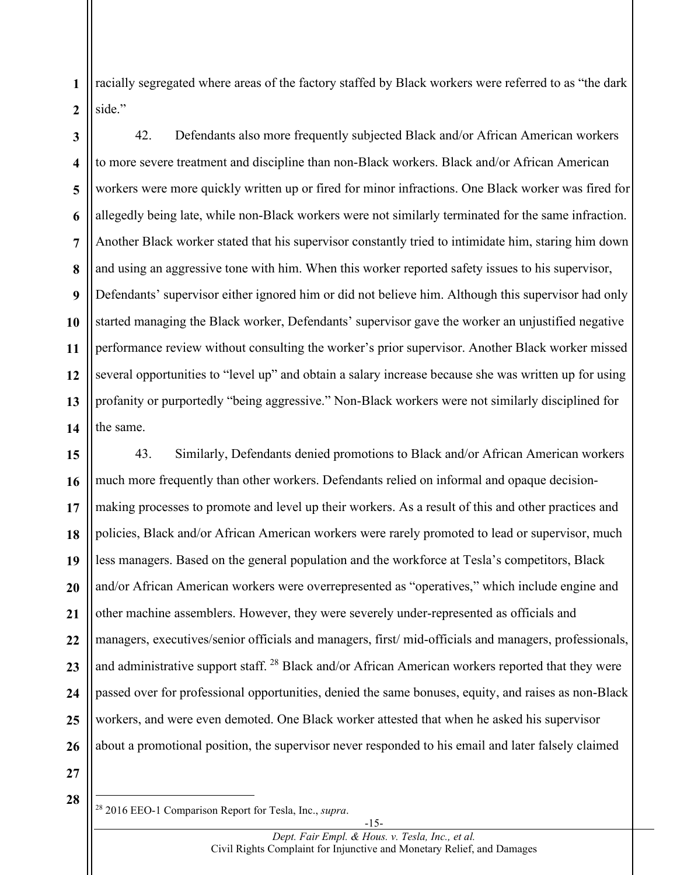**1** racially segregated where areas of the factory staffed by Black workers were referred to as "the dark side."

**2**

**3 4 5 6 7 8 9 10 11 12 13 14** 42. Defendants also more frequently subjected Black and/or African American workers to more severe treatment and discipline than non-Black workers. Black and/or African American workers were more quickly written up or fired for minor infractions. One Black worker was fired for allegedly being late, while non-Black workers were not similarly terminated for the same infraction. Another Black worker stated that his supervisor constantly tried to intimidate him, staring him down and using an aggressive tone with him. When this worker reported safety issues to his supervisor, Defendants' supervisor either ignored him or did not believe him. Although this supervisor had only started managing the Black worker, Defendants' supervisor gave the worker an unjustified negative performance review without consulting the worker's prior supervisor. Another Black worker missed several opportunities to "level up" and obtain a salary increase because she was written up for using profanity or purportedly "being aggressive." Non-Black workers were not similarly disciplined for the same.

**15 16 17 18 19 20 21 22 23 24 25 26** 43. Similarly, Defendants denied promotions to Black and/or African American workers much more frequently than other workers. Defendants relied on informal and opaque decisionmaking processes to promote and level up their workers. As a result of this and other practices and policies, Black and/or African American workers were rarely promoted to lead or supervisor, much less managers. Based on the general population and the workforce at Tesla's competitors, Black and/or African American workers were overrepresented as "operatives," which include engine and other machine assemblers. However, they were severely under-represented as officials and managers, executives/senior officials and managers, first/ mid-officials and managers, professionals, and administrative support staff.  $^{28}$  $^{28}$  $^{28}$  Black and/or African American workers reported that they were passed over for professional opportunities, denied the same bonuses, equity, and raises as non-Black workers, and were even demoted. One Black worker attested that when he asked his supervisor about a promotional position, the supervisor never responded to his email and later falsely claimed

<span id="page-14-0"></span><sup>28</sup> 2016 EEO-1 Comparison Report for Tesla, Inc., *supra*.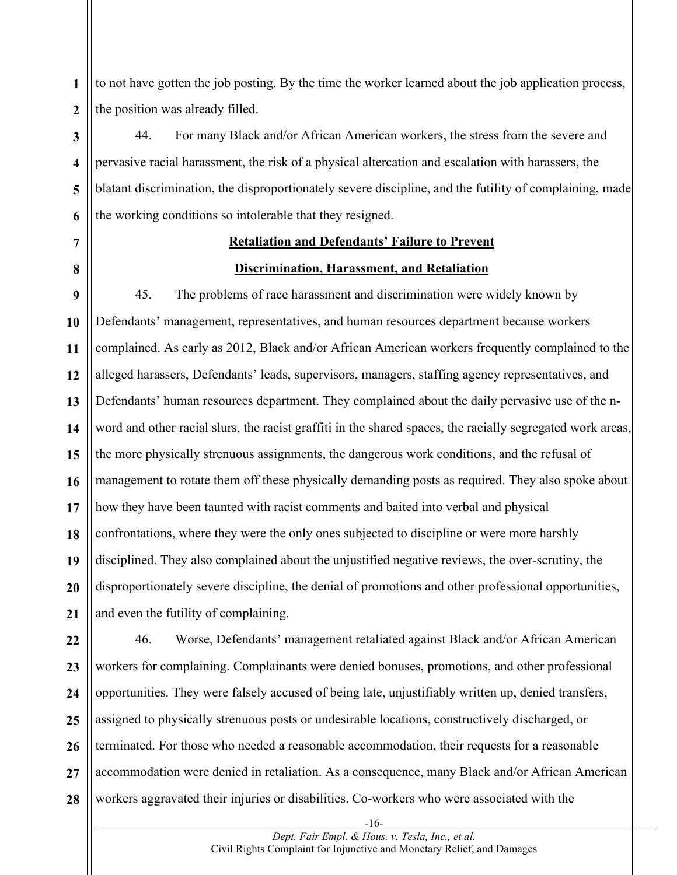**1 2** to not have gotten the job posting. By the time the worker learned about the job application process, the position was already filled.

**3 4 5 6** 44. For many Black and/or African American workers, the stress from the severe and pervasive racial harassment, the risk of a physical altercation and escalation with harassers, the blatant discrimination, the disproportionately severe discipline, and the futility of complaining, made the working conditions so intolerable that they resigned.

# **7**

**8**

### **Retaliation and Defendants' Failure to Prevent**

#### **Discrimination, Harassment, and Retaliation**

**9 10 11 12 13 14 15 16 17 18 19 20 21** 45. The problems of race harassment and discrimination were widely known by Defendants' management, representatives, and human resources department because workers complained. As early as 2012, Black and/or African American workers frequently complained to the alleged harassers, Defendants' leads, supervisors, managers, staffing agency representatives, and Defendants' human resources department. They complained about the daily pervasive use of the nword and other racial slurs, the racist graffiti in the shared spaces, the racially segregated work areas, the more physically strenuous assignments, the dangerous work conditions, and the refusal of management to rotate them off these physically demanding posts as required. They also spoke about how they have been taunted with racist comments and baited into verbal and physical confrontations, where they were the only ones subjected to discipline or were more harshly disciplined. They also complained about the unjustified negative reviews, the over-scrutiny, the disproportionately severe discipline, the denial of promotions and other professional opportunities, and even the futility of complaining.

**22 23 24 25 26 27 28** 46. Worse, Defendants' management retaliated against Black and/or African American workers for complaining. Complainants were denied bonuses, promotions, and other professional opportunities. They were falsely accused of being late, unjustifiably written up, denied transfers, assigned to physically strenuous posts or undesirable locations, constructively discharged, or terminated. For those who needed a reasonable accommodation, their requests for a reasonable accommodation were denied in retaliation. As a consequence, many Black and/or African American workers aggravated their injuries or disabilities. Co-workers who were associated with the

-16-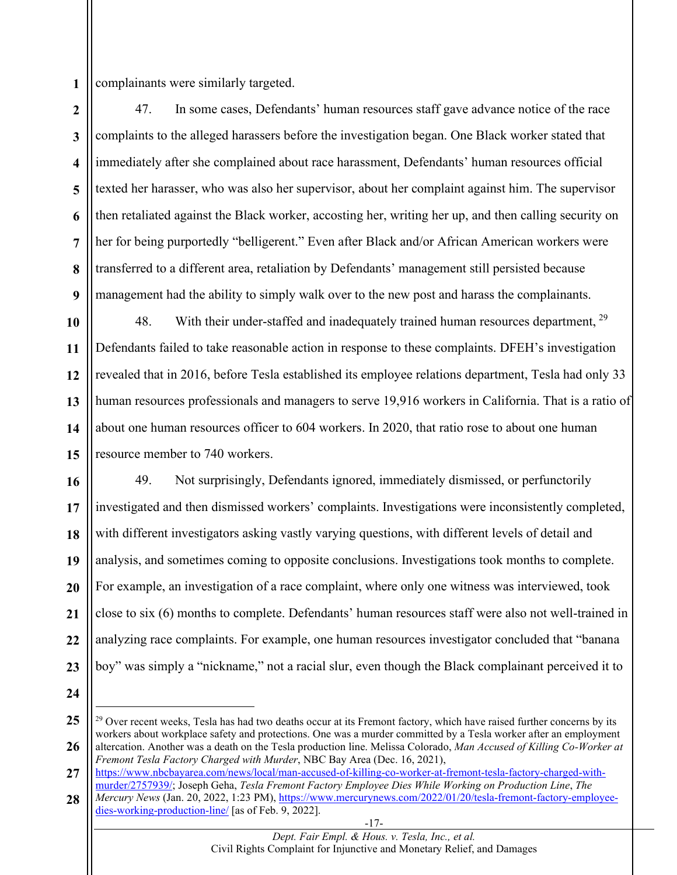**1** complainants were similarly targeted.

**2 3 4 5 6 7 8 9** 47. In some cases, Defendants' human resources staff gave advance notice of the race complaints to the alleged harassers before the investigation began. One Black worker stated that immediately after she complained about race harassment, Defendants' human resources official texted her harasser, who was also her supervisor, about her complaint against him. The supervisor then retaliated against the Black worker, accosting her, writing her up, and then calling security on her for being purportedly "belligerent." Even after Black and/or African American workers were transferred to a different area, retaliation by Defendants' management still persisted because management had the ability to simply walk over to the new post and harass the complainants.

**10 11 12 13 14 15** 48. With their under-staffed and inadequately trained human resources department, <sup>[29](#page-16-0)</sup> Defendants failed to take reasonable action in response to these complaints. DFEH's investigation revealed that in 2016, before Tesla established its employee relations department, Tesla had only 33 human resources professionals and managers to serve 19,916 workers in California. That is a ratio of about one human resources officer to 604 workers. In 2020, that ratio rose to about one human resource member to 740 workers.

**16 17 18 19 20 21 22 23** 49. Not surprisingly, Defendants ignored, immediately dismissed, or perfunctorily investigated and then dismissed workers' complaints. Investigations were inconsistently completed, with different investigators asking vastly varying questions, with different levels of detail and analysis, and sometimes coming to opposite conclusions. Investigations took months to complete. For example, an investigation of a race complaint, where only one witness was interviewed, took close to six (6) months to complete. Defendants' human resources staff were also not well-trained in analyzing race complaints. For example, one human resources investigator concluded that "banana boy" was simply a "nickname," not a racial slur, even though the Black complainant perceived it to

<span id="page-16-0"></span>**<sup>25</sup> 26** <sup>29</sup> Over recent weeks, Tesla has had two deaths occur at its Fremont factory, which have raised further concerns by its workers about workplace safety and protections. One was a murder committed by a Tesla worker after an employment altercation. Another was a death on the Tesla production line. Melissa Colorado, *Man Accused of Killing Co-Worker at* 

**<sup>27</sup>** *Fremont Tesla Factory Charged with Murder*, NBC Bay Area (Dec. 16, 2021),

https://www.nbcbayarea.com/news/local/man-accused-of-killing-co-worker-at-fremont-tesla-factory-charged-withmurder/2757939/; Joseph Geha, *Tesla Fremont Factory Employee Dies While Working on Production Line*, *The* 

<sup>-17-</sup> **28** *Mercury News* (Jan. 20, 2022, 1:23 PM), https://www.mercurynews.com/2022/01/20/tesla-fremont-factory-employeedies-working-production-line/ [as of Feb. 9, 2022].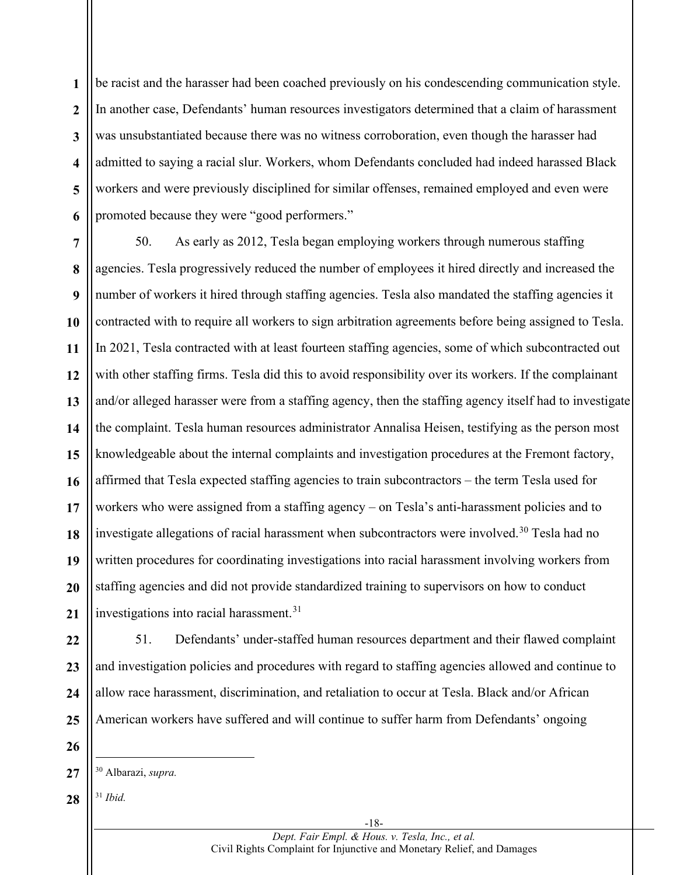**1 2 3 4 5 6** be racist and the harasser had been coached previously on his condescending communication style. In another case, Defendants' human resources investigators determined that a claim of harassment was unsubstantiated because there was no witness corroboration, even though the harasser had admitted to saying a racial slur. Workers, whom Defendants concluded had indeed harassed Black workers and were previously disciplined for similar offenses, remained employed and even were promoted because they were "good performers."

**7 8 9 10 11 12 13 14 15 16 17 18 19 20 21** 50. As early as 2012, Tesla began employing workers through numerous staffing agencies. Tesla progressively reduced the number of employees it hired directly and increased the number of workers it hired through staffing agencies. Tesla also mandated the staffing agencies it contracted with to require all workers to sign arbitration agreements before being assigned to Tesla. In 2021, Tesla contracted with at least fourteen staffing agencies, some of which subcontracted out with other staffing firms. Tesla did this to avoid responsibility over its workers. If the complainant and/or alleged harasser were from a staffing agency, then the staffing agency itself had to investigate the complaint. Tesla human resources administrator Annalisa Heisen, testifying as the person most knowledgeable about the internal complaints and investigation procedures at the Fremont factory, affirmed that Tesla expected staffing agencies to train subcontractors – the term Tesla used for workers who were assigned from a staffing agency – on Tesla's anti-harassment policies and to investigate allegations of racial harassment when subcontractors were involved.<sup>[30](#page-17-0)</sup> Tesla had no written procedures for coordinating investigations into racial harassment involving workers from staffing agencies and did not provide standardized training to supervisors on how to conduct investigations into racial harassment. [31](#page-17-1)

**22 23 24 25** 51. Defendants' under-staffed human resources department and their flawed complaint and investigation policies and procedures with regard to staffing agencies allowed and continue to allow race harassment, discrimination, and retaliation to occur at Tesla. Black and/or African American workers have suffered and will continue to suffer harm from Defendants' ongoing

**26**

<span id="page-17-1"></span>**28** <sup>31</sup> *Ibid.*

<span id="page-17-0"></span>**<sup>27</sup>** <sup>30</sup> Albarazi, *supra.*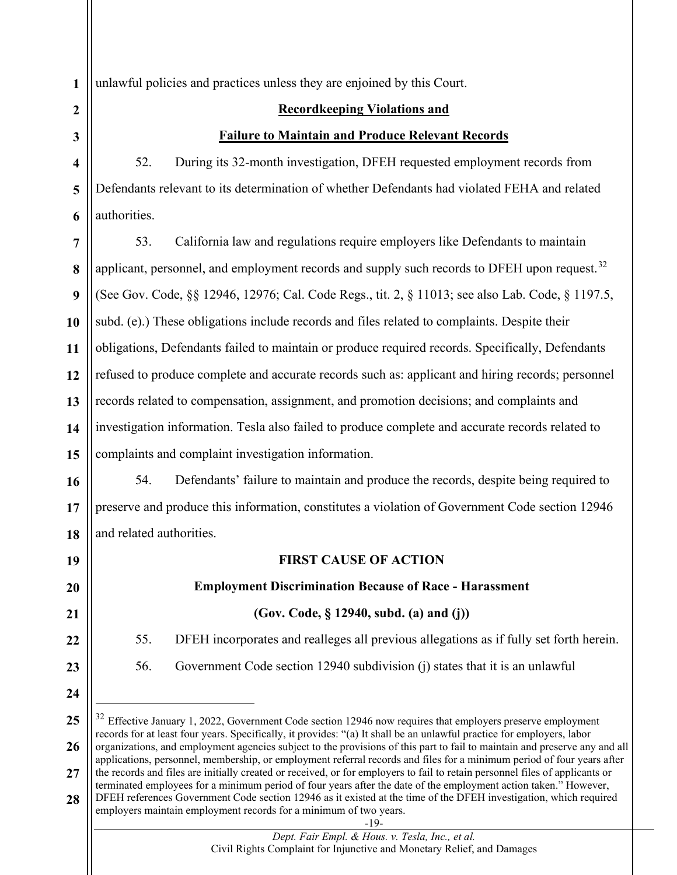unlawful policies and practices unless they are enjoined by this Court.

#### **Recordkeeping Violations and**

#### **Failure to Maintain and Produce Relevant Records**

52. During its 32-month investigation, DFEH requested employment records from Defendants relevant to its determination of whether Defendants had violated FEHA and related authorities.

**7 8 9 10 11 12 13 14 15** 53. California law and regulations require employers like Defendants to maintain applicant, personnel, and employment records and supply such records to DFEH upon request.<sup>[32](#page-18-0)</sup> (See Gov. Code, §§ 12946, 12976; Cal. Code Regs., tit. 2, § 11013; see also Lab. Code, § 1197.5, subd. (e).) These obligations include records and files related to complaints. Despite their obligations, Defendants failed to maintain or produce required records. Specifically, Defendants refused to produce complete and accurate records such as: applicant and hiring records; personnel records related to compensation, assignment, and promotion decisions; and complaints and investigation information. Tesla also failed to produce complete and accurate records related to complaints and complaint investigation information.

**16 17 18** 54. Defendants' failure to maintain and produce the records, despite being required to preserve and produce this information, constitutes a violation of Government Code section 12946 and related authorities.

**19**

**20**

**21**

**22**

**23**

**24**

# **FIRST CAUSE OF ACTION Employment Discrimination Because of Race - Harassment**

# **(Gov. Code, § 12940, subd. (a) and (j))**

55. DFEH incorporates and realleges all previous allegations as if fully set forth herein.

56. Government Code section 12940 subdivision (j) states that it is an unlawful

<span id="page-18-0"></span>**<sup>25</sup> 26 27 28**  $32$  Effective January 1, 2022, Government Code section 12946 now requires that employers preserve employment records for at least four years. Specifically, it provides: "(a) It shall be an unlawful practice for employers, labor organizations, and employment agencies subject to the provisions of this part to fail to maintain and preserve any and all applications, personnel, membership, or employment referral records and files for a minimum period of four years after the records and files are initially created or received, or for employers to fail to retain personnel files of applicants or terminated employees for a minimum period of four years after the date of the employment action taken." However, DFEH references Government Code section 12946 as it existed at the time of the DFEH investigation, which required employers maintain employment records for a minimum of two years.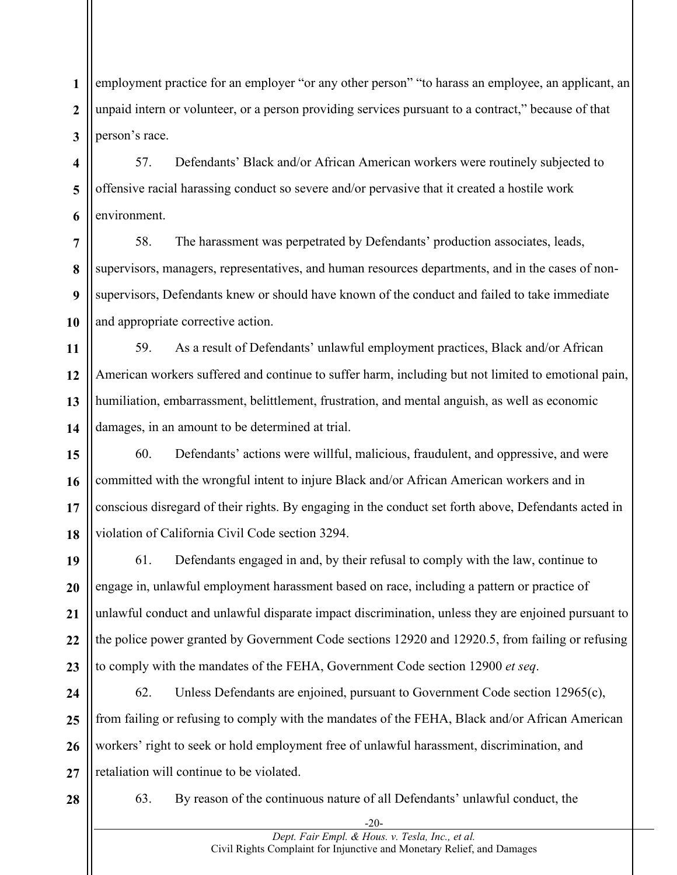**1 2 3** employment practice for an employer "or any other person" "to harass an employee, an applicant, an unpaid intern or volunteer, or a person providing services pursuant to a contract," because of that person's race.

**4 5 6** 57. Defendants' Black and/or African American workers were routinely subjected to offensive racial harassing conduct so severe and/or pervasive that it created a hostile work environment.

**7 8 9 10** 58. The harassment was perpetrated by Defendants' production associates, leads, supervisors, managers, representatives, and human resources departments, and in the cases of nonsupervisors, Defendants knew or should have known of the conduct and failed to take immediate and appropriate corrective action.

**11 12 13 14** 59. As a result of Defendants' unlawful employment practices, Black and/or African American workers suffered and continue to suffer harm, including but not limited to emotional pain, humiliation, embarrassment, belittlement, frustration, and mental anguish, as well as economic damages, in an amount to be determined at trial.

**15 16 17 18** 60. Defendants' actions were willful, malicious, fraudulent, and oppressive, and were committed with the wrongful intent to injure Black and/or African American workers and in conscious disregard of their rights. By engaging in the conduct set forth above, Defendants acted in violation of California Civil Code section 3294.

**19 20 21 22 23** 61. Defendants engaged in and, by their refusal to comply with the law, continue to engage in, unlawful employment harassment based on race, including a pattern or practice of unlawful conduct and unlawful disparate impact discrimination, unless they are enjoined pursuant to the police power granted by Government Code sections 12920 and 12920.5, from failing or refusing to comply with the mandates of the FEHA, Government Code section 12900 *et seq*.

**24 25 26 27** 62. Unless Defendants are enjoined, pursuant to Government Code section 12965(c), from failing or refusing to comply with the mandates of the FEHA, Black and/or African American workers' right to seek or hold employment free of unlawful harassment, discrimination, and retaliation will continue to be violated.

**28**

63. By reason of the continuous nature of all Defendants' unlawful conduct, the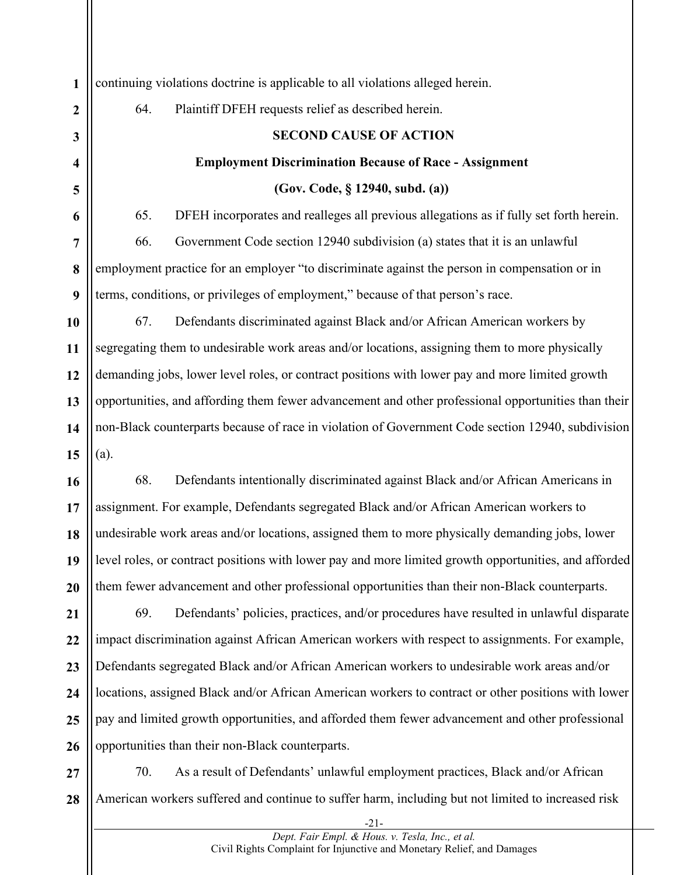**1 2 3 4 5 6 7 8 9 10 11 12 13 14 15 16 17 18 19 20 21 22 23 24 25 26 27** continuing violations doctrine is applicable to all violations alleged herein. 64. Plaintiff DFEH requests relief as described herein. **SECOND CAUSE OF ACTION Employment Discrimination Because of Race - Assignment (Gov. Code, § 12940, subd. (a))** 65. DFEH incorporates and realleges all previous allegations as if fully set forth herein. 66. Government Code section 12940 subdivision (a) states that it is an unlawful employment practice for an employer "to discriminate against the person in compensation or in terms, conditions, or privileges of employment," because of that person's race. 67. Defendants discriminated against Black and/or African American workers by segregating them to undesirable work areas and/or locations, assigning them to more physically demanding jobs, lower level roles, or contract positions with lower pay and more limited growth opportunities, and affording them fewer advancement and other professional opportunities than their non-Black counterparts because of race in violation of Government Code section 12940, subdivision (a). 68. Defendants intentionally discriminated against Black and/or African Americans in assignment. For example, Defendants segregated Black and/or African American workers to undesirable work areas and/or locations, assigned them to more physically demanding jobs, lower level roles, or contract positions with lower pay and more limited growth opportunities, and afforded them fewer advancement and other professional opportunities than their non-Black counterparts. 69. Defendants' policies, practices, and/or procedures have resulted in unlawful disparate impact discrimination against African American workers with respect to assignments. For example, Defendants segregated Black and/or African American workers to undesirable work areas and/or locations, assigned Black and/or African American workers to contract or other positions with lower pay and limited growth opportunities, and afforded them fewer advancement and other professional opportunities than their non-Black counterparts. 70. As a result of Defendants' unlawful employment practices, Black and/or African

**28** American workers suffered and continue to suffer harm, including but not limited to increased risk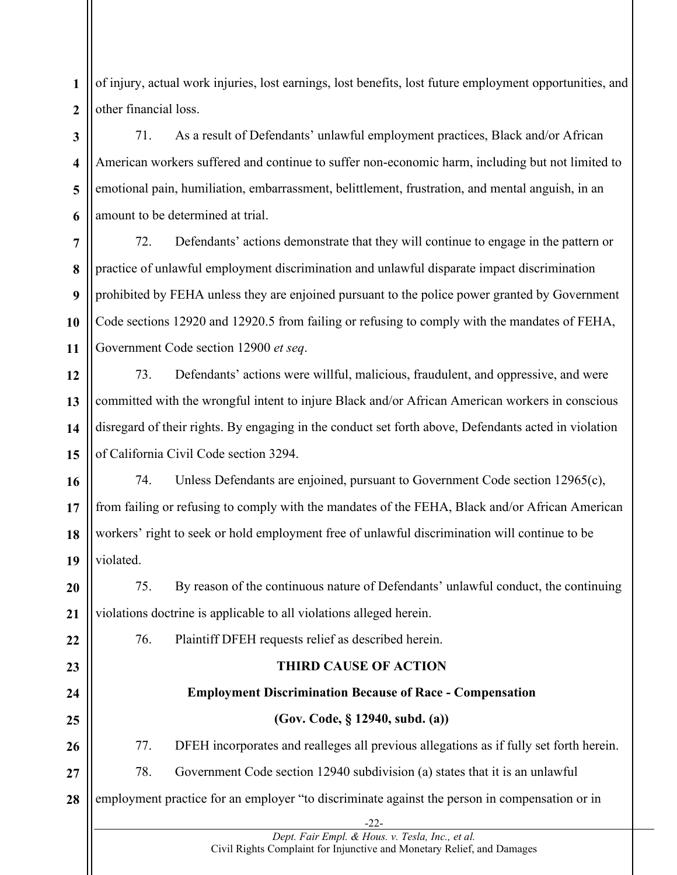**1 2** of injury, actual work injuries, lost earnings, lost benefits, lost future employment opportunities, and other financial loss.

**3 4 5 6** 71. As a result of Defendants' unlawful employment practices, Black and/or African American workers suffered and continue to suffer non-economic harm, including but not limited to emotional pain, humiliation, embarrassment, belittlement, frustration, and mental anguish, in an amount to be determined at trial.

**7 8 9 10 11** 72. Defendants' actions demonstrate that they will continue to engage in the pattern or practice of unlawful employment discrimination and unlawful disparate impact discrimination prohibited by FEHA unless they are enjoined pursuant to the police power granted by Government Code sections 12920 and 12920.5 from failing or refusing to comply with the mandates of FEHA, Government Code section 12900 *et seq*.

**12 13 14 15** 73. Defendants' actions were willful, malicious, fraudulent, and oppressive, and were committed with the wrongful intent to injure Black and/or African American workers in conscious disregard of their rights. By engaging in the conduct set forth above, Defendants acted in violation of California Civil Code section 3294.

**16 17 18 19** 74. Unless Defendants are enjoined, pursuant to Government Code section 12965(c), from failing or refusing to comply with the mandates of the FEHA, Black and/or African American workers' right to seek or hold employment free of unlawful discrimination will continue to be violated.

**20 21** 75. By reason of the continuous nature of Defendants' unlawful conduct, the continuing violations doctrine is applicable to all violations alleged herein.

76. Plaintiff DFEH requests relief as described herein.

**22**

**23**

**24**

**25**

**26**

**27**

### **THIRD CAUSE OF ACTION**

# **Employment Discrimination Because of Race - Compensation**

# **(Gov. Code, § 12940, subd. (a))**

77. DFEH incorporates and realleges all previous allegations as if fully set forth herein.

78. Government Code section 12940 subdivision (a) states that it is an unlawful

**28** employment practice for an employer "to discriminate against the person in compensation or in

> -22- *Dept. Fair Empl. & Hous. v. Tesla, Inc., et al.*  Civil Rights Complaint for Injunctive and Monetary Relief, and Damages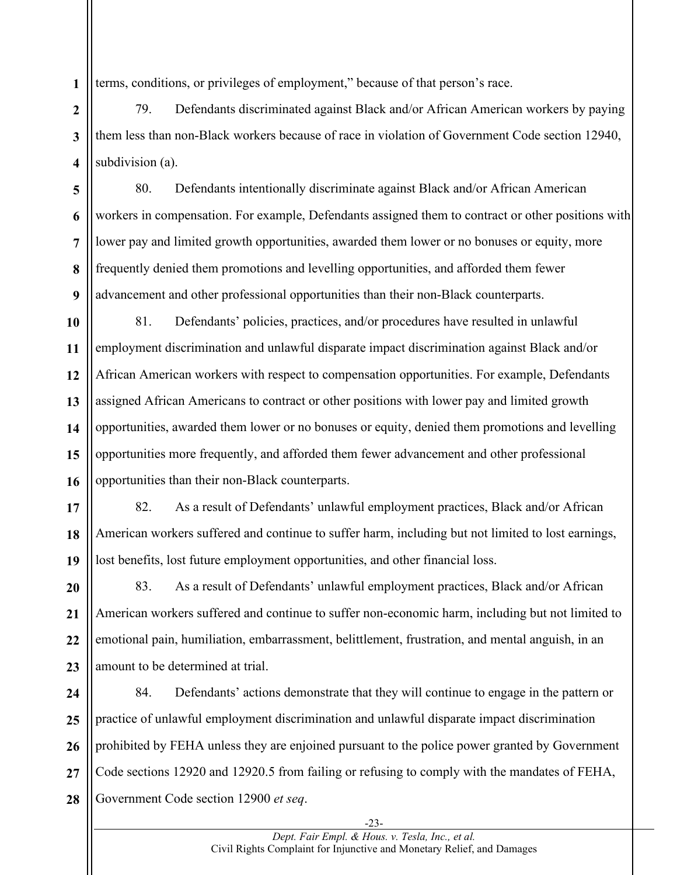**1** terms, conditions, or privileges of employment," because of that person's race.

**2 3 4** 79. Defendants discriminated against Black and/or African American workers by paying them less than non-Black workers because of race in violation of Government Code section 12940, subdivision (a).

**5 6 7 8 9** 80. Defendants intentionally discriminate against Black and/or African American workers in compensation. For example, Defendants assigned them to contract or other positions with lower pay and limited growth opportunities, awarded them lower or no bonuses or equity, more frequently denied them promotions and levelling opportunities, and afforded them fewer advancement and other professional opportunities than their non-Black counterparts.

**10 11 12 13 14 15 16** 81. Defendants' policies, practices, and/or procedures have resulted in unlawful employment discrimination and unlawful disparate impact discrimination against Black and/or African American workers with respect to compensation opportunities. For example, Defendants assigned African Americans to contract or other positions with lower pay and limited growth opportunities, awarded them lower or no bonuses or equity, denied them promotions and levelling opportunities more frequently, and afforded them fewer advancement and other professional opportunities than their non-Black counterparts.

**17 18 19** 82. As a result of Defendants' unlawful employment practices, Black and/or African American workers suffered and continue to suffer harm, including but not limited to lost earnings, lost benefits, lost future employment opportunities, and other financial loss.

**20 21 22 23** 83. As a result of Defendants' unlawful employment practices, Black and/or African American workers suffered and continue to suffer non-economic harm, including but not limited to emotional pain, humiliation, embarrassment, belittlement, frustration, and mental anguish, in an amount to be determined at trial.

**24 25 26 27 28** 84. Defendants' actions demonstrate that they will continue to engage in the pattern or practice of unlawful employment discrimination and unlawful disparate impact discrimination prohibited by FEHA unless they are enjoined pursuant to the police power granted by Government Code sections 12920 and 12920.5 from failing or refusing to comply with the mandates of FEHA, Government Code section 12900 *et seq*.

-23-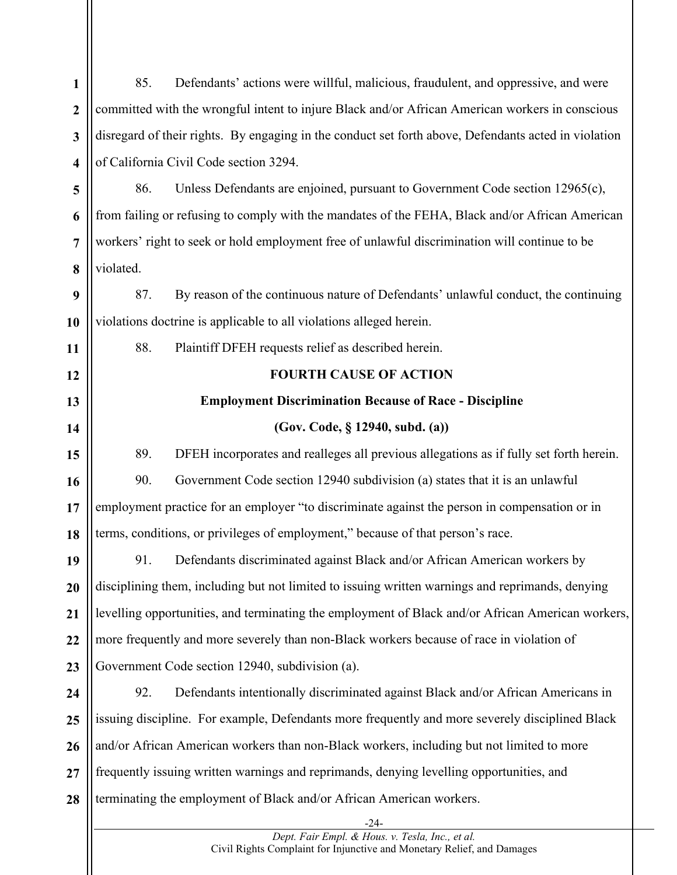| $\mathbf{1}$            | 85.                                    | Defendants' actions were willful, malicious, fraudulent, and oppressive, and were                                         |  |
|-------------------------|----------------------------------------|---------------------------------------------------------------------------------------------------------------------------|--|
| $\overline{2}$          |                                        | committed with the wrongful intent to injure Black and/or African American workers in conscious                           |  |
| 3                       |                                        | disregard of their rights. By engaging in the conduct set forth above, Defendants acted in violation                      |  |
| $\overline{\mathbf{4}}$ | of California Civil Code section 3294. |                                                                                                                           |  |
| 5                       | 86.                                    | Unless Defendants are enjoined, pursuant to Government Code section 12965(c),                                             |  |
| 6                       |                                        | from failing or refusing to comply with the mandates of the FEHA, Black and/or African American                           |  |
| $\overline{7}$          |                                        | workers' right to seek or hold employment free of unlawful discrimination will continue to be                             |  |
| 8                       | violated.                              |                                                                                                                           |  |
| 9                       | 87.                                    | By reason of the continuous nature of Defendants' unlawful conduct, the continuing                                        |  |
| 10                      |                                        | violations doctrine is applicable to all violations alleged herein.                                                       |  |
| 11                      | 88.                                    | Plaintiff DFEH requests relief as described herein.                                                                       |  |
| 12                      |                                        | <b>FOURTH CAUSE OF ACTION</b>                                                                                             |  |
| 13                      |                                        | <b>Employment Discrimination Because of Race - Discipline</b>                                                             |  |
| 14                      |                                        | (Gov. Code, § 12940, subd. (a))                                                                                           |  |
| 15                      | 89.                                    | DFEH incorporates and realleges all previous allegations as if fully set forth herein.                                    |  |
| 16                      | 90.                                    | Government Code section 12940 subdivision (a) states that it is an unlawful                                               |  |
| 17                      |                                        | employment practice for an employer "to discriminate against the person in compensation or in                             |  |
| 18                      |                                        | terms, conditions, or privileges of employment," because of that person's race.                                           |  |
| 19                      |                                        | 91. Defendants discriminated against Black and/or African American workers by                                             |  |
| 20                      |                                        | disciplining them, including but not limited to issuing written warnings and reprimands, denying                          |  |
| 21                      |                                        | levelling opportunities, and terminating the employment of Black and/or African American workers,                         |  |
| 22                      |                                        | more frequently and more severely than non-Black workers because of race in violation of                                  |  |
| 23                      |                                        | Government Code section 12940, subdivision (a).                                                                           |  |
| 24                      | 92.                                    | Defendants intentionally discriminated against Black and/or African Americans in                                          |  |
| 25                      |                                        | issuing discipline. For example, Defendants more frequently and more severely disciplined Black                           |  |
| 26                      |                                        | and/or African American workers than non-Black workers, including but not limited to more                                 |  |
| 27                      |                                        | frequently issuing written warnings and reprimands, denying levelling opportunities, and                                  |  |
| 28                      |                                        | terminating the employment of Black and/or African American workers.                                                      |  |
|                         |                                        | -24-                                                                                                                      |  |
|                         |                                        | Dept. Fair Empl. & Hous. v. Tesla, Inc., et al.<br>Civil Rights Complaint for Injunctive and Monetary Relief, and Damages |  |

 $\mathbf{I}$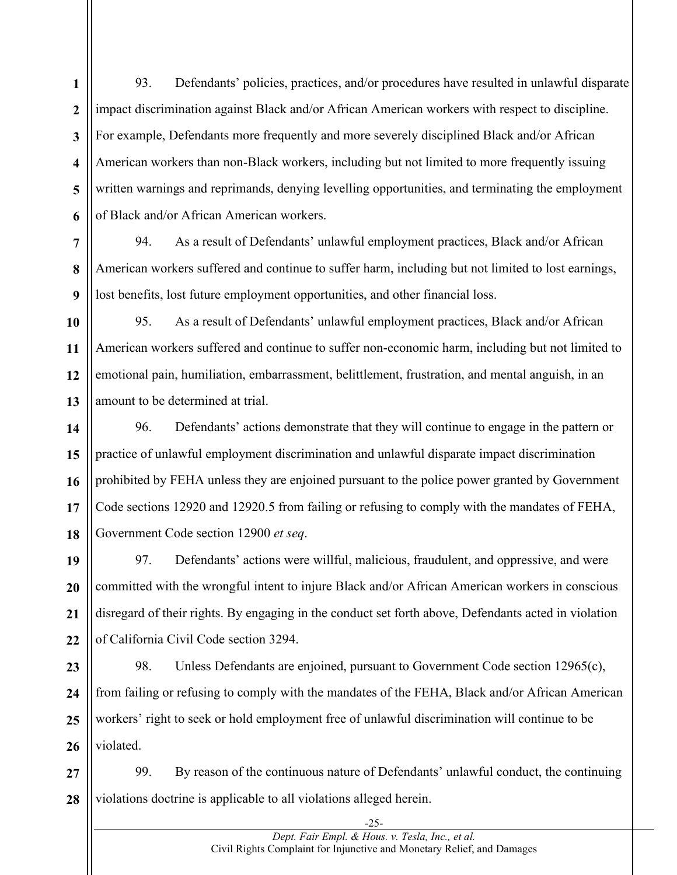**1 2 3 4 5 6** 93. Defendants' policies, practices, and/or procedures have resulted in unlawful disparate impact discrimination against Black and/or African American workers with respect to discipline. For example, Defendants more frequently and more severely disciplined Black and/or African American workers than non-Black workers, including but not limited to more frequently issuing written warnings and reprimands, denying levelling opportunities, and terminating the employment of Black and/or African American workers.

94. As a result of Defendants' unlawful employment practices, Black and/or African American workers suffered and continue to suffer harm, including but not limited to lost earnings, lost benefits, lost future employment opportunities, and other financial loss.

**10 11 12** 95. As a result of Defendants' unlawful employment practices, Black and/or African American workers suffered and continue to suffer non-economic harm, including but not limited to emotional pain, humiliation, embarrassment, belittlement, frustration, and mental anguish, in an amount to be determined at trial.

96. Defendants' actions demonstrate that they will continue to engage in the pattern or practice of unlawful employment discrimination and unlawful disparate impact discrimination prohibited by FEHA unless they are enjoined pursuant to the police power granted by Government Code sections 12920 and 12920.5 from failing or refusing to comply with the mandates of FEHA, Government Code section 12900 *et seq*.

**19 20 21 22** 97. Defendants' actions were willful, malicious, fraudulent, and oppressive, and were committed with the wrongful intent to injure Black and/or African American workers in conscious disregard of their rights. By engaging in the conduct set forth above, Defendants acted in violation of California Civil Code section 3294.

**23 24 25 26** 98. Unless Defendants are enjoined, pursuant to Government Code section 12965(c), from failing or refusing to comply with the mandates of the FEHA, Black and/or African American workers' right to seek or hold employment free of unlawful discrimination will continue to be violated.

**27 28** 99. By reason of the continuous nature of Defendants' unlawful conduct, the continuing violations doctrine is applicable to all violations alleged herein.

**7**

**8**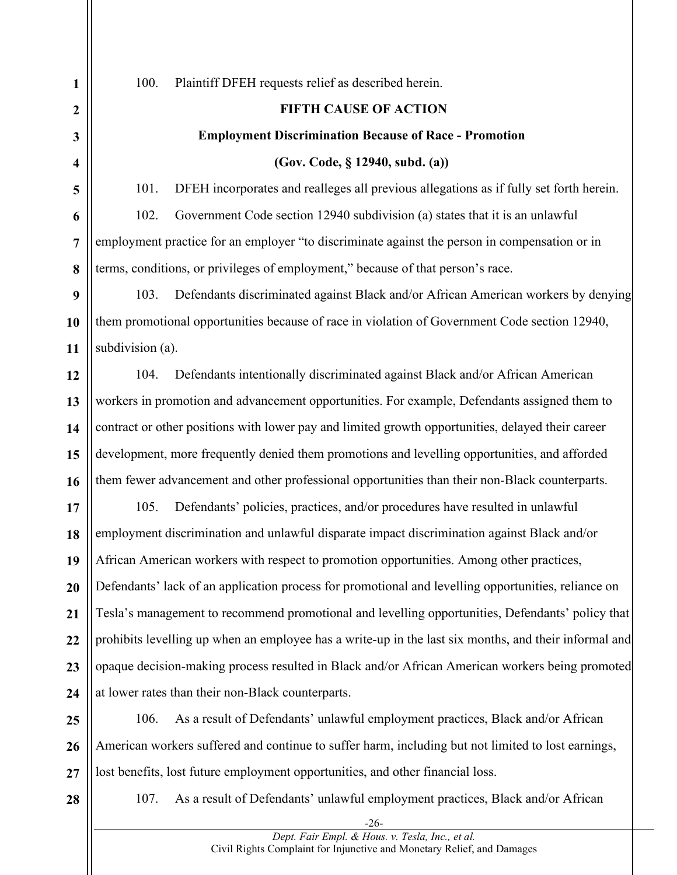100. Plaintiff DFEH requests relief as described herein.

#### **FIFTH CAUSE OF ACTION**

#### **Employment Discrimination Because of Race - Promotion**

**(Gov. Code, § 12940, subd. (a))**

101. DFEH incorporates and realleges all previous allegations as if fully set forth herein. 102. Government Code section 12940 subdivision (a) states that it is an unlawful employment practice for an employer "to discriminate against the person in compensation or in terms, conditions, or privileges of employment," because of that person's race.

103. Defendants discriminated against Black and/or African American workers by denying them promotional opportunities because of race in violation of Government Code section 12940, subdivision (a).

104. Defendants intentionally discriminated against Black and/or African American workers in promotion and advancement opportunities. For example, Defendants assigned them to contract or other positions with lower pay and limited growth opportunities, delayed their career development, more frequently denied them promotions and levelling opportunities, and afforded them fewer advancement and other professional opportunities than their non-Black counterparts.

105. Defendants' policies, practices, and/or procedures have resulted in unlawful employment discrimination and unlawful disparate impact discrimination against Black and/or African American workers with respect to promotion opportunities. Among other practices, Defendants' lack of an application process for promotional and levelling opportunities, reliance on Tesla's management to recommend promotional and levelling opportunities, Defendants' policy that prohibits levelling up when an employee has a write-up in the last six months, and their informal and opaque decision-making process resulted in Black and/or African American workers being promoted at lower rates than their non-Black counterparts.

**26 27** 106. As a result of Defendants' unlawful employment practices, Black and/or African American workers suffered and continue to suffer harm, including but not limited to lost earnings, lost benefits, lost future employment opportunities, and other financial loss.

**28**

107. As a result of Defendants' unlawful employment practices, Black and/or African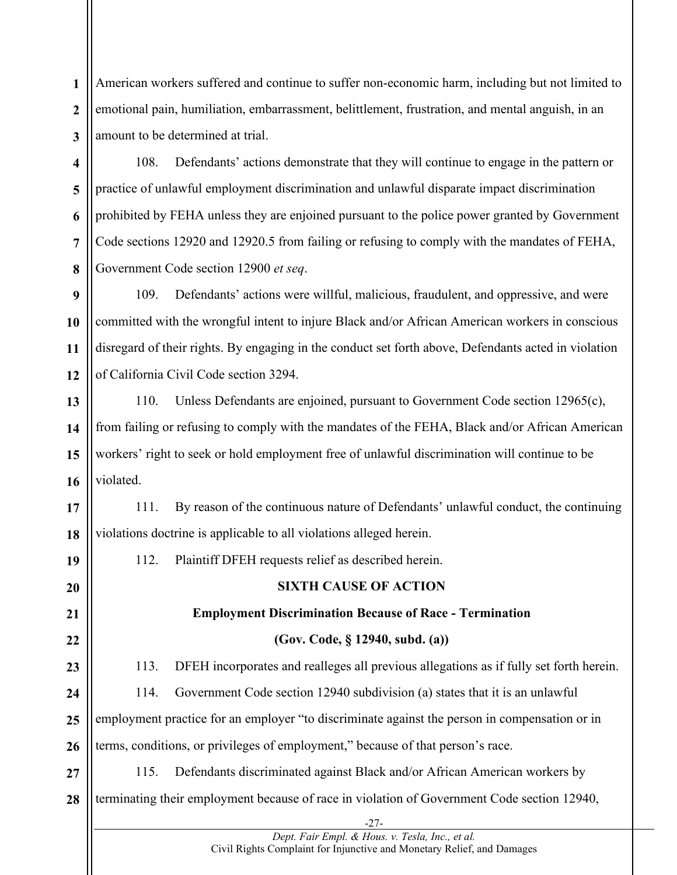**1 2 3** American workers suffered and continue to suffer non-economic harm, including but not limited to emotional pain, humiliation, embarrassment, belittlement, frustration, and mental anguish, in an amount to be determined at trial.

**4 5 6 7 8** 108. Defendants' actions demonstrate that they will continue to engage in the pattern or practice of unlawful employment discrimination and unlawful disparate impact discrimination prohibited by FEHA unless they are enjoined pursuant to the police power granted by Government Code sections 12920 and 12920.5 from failing or refusing to comply with the mandates of FEHA, Government Code section 12900 *et seq*.

**9 10 11 12** 109. Defendants' actions were willful, malicious, fraudulent, and oppressive, and were committed with the wrongful intent to injure Black and/or African American workers in conscious disregard of their rights. By engaging in the conduct set forth above, Defendants acted in violation of California Civil Code section 3294.

**13 14 15 16** 110. Unless Defendants are enjoined, pursuant to Government Code section 12965(c), from failing or refusing to comply with the mandates of the FEHA, Black and/or African American workers' right to seek or hold employment free of unlawful discrimination will continue to be violated.

**17 18** 111. By reason of the continuous nature of Defendants' unlawful conduct, the continuing violations doctrine is applicable to all violations alleged herein.

112. Plaintiff DFEH requests relief as described herein.

**19**

**20 21 22 23 24 25 26 SIXTH CAUSE OF ACTION Employment Discrimination Because of Race - Termination (Gov. Code, § 12940, subd. (a))** 113. DFEH incorporates and realleges all previous allegations as if fully set forth herein. 114. Government Code section 12940 subdivision (a) states that it is an unlawful employment practice for an employer "to discriminate against the person in compensation or in terms, conditions, or privileges of employment," because of that person's race.

**27 28** 115. Defendants discriminated against Black and/or African American workers by terminating their employment because of race in violation of Government Code section 12940,

> -27- *Dept. Fair Empl. & Hous. v. Tesla, Inc., et al.*  Civil Rights Complaint for Injunctive and Monetary Relief, and Damages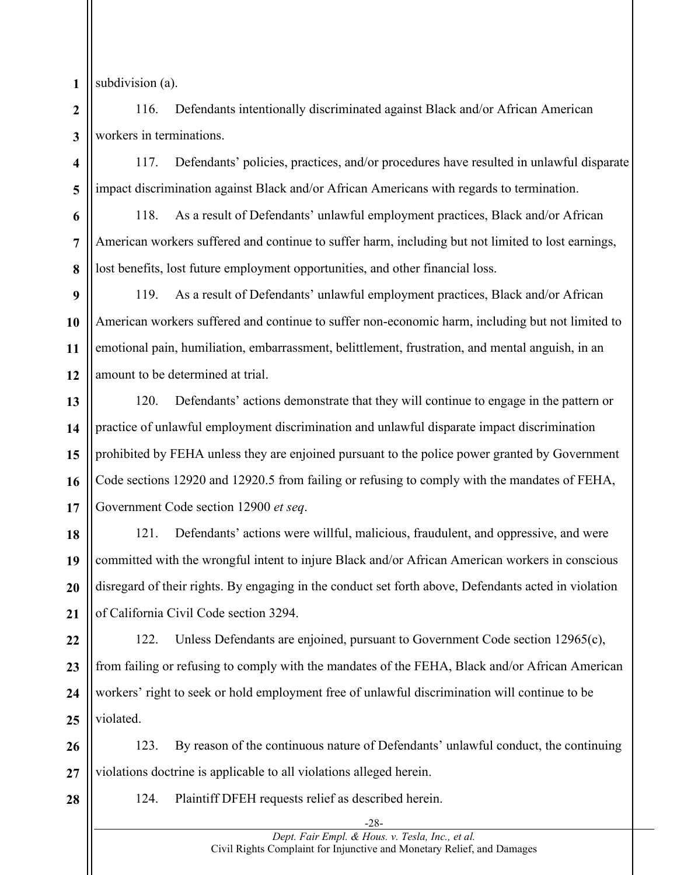**1** subdivision (a).

**6**

**7**

**8**

**2 3** 116. Defendants intentionally discriminated against Black and/or African American workers in terminations.

**4 5** 117. Defendants' policies, practices, and/or procedures have resulted in unlawful disparate impact discrimination against Black and/or African Americans with regards to termination.

118. As a result of Defendants' unlawful employment practices, Black and/or African American workers suffered and continue to suffer harm, including but not limited to lost earnings, lost benefits, lost future employment opportunities, and other financial loss.

**9 10 11 12** 119. As a result of Defendants' unlawful employment practices, Black and/or African American workers suffered and continue to suffer non-economic harm, including but not limited to emotional pain, humiliation, embarrassment, belittlement, frustration, and mental anguish, in an amount to be determined at trial.

**13 14 15 16 17** 120. Defendants' actions demonstrate that they will continue to engage in the pattern or practice of unlawful employment discrimination and unlawful disparate impact discrimination prohibited by FEHA unless they are enjoined pursuant to the police power granted by Government Code sections 12920 and 12920.5 from failing or refusing to comply with the mandates of FEHA, Government Code section 12900 *et seq*.

**18 19 20 21** 121. Defendants' actions were willful, malicious, fraudulent, and oppressive, and were committed with the wrongful intent to injure Black and/or African American workers in conscious disregard of their rights. By engaging in the conduct set forth above, Defendants acted in violation of California Civil Code section 3294.

**22 23 24 25** 122. Unless Defendants are enjoined, pursuant to Government Code section 12965(c), from failing or refusing to comply with the mandates of the FEHA, Black and/or African American workers' right to seek or hold employment free of unlawful discrimination will continue to be violated.

**26 27** 123. By reason of the continuous nature of Defendants' unlawful conduct, the continuing violations doctrine is applicable to all violations alleged herein.

**28**

124. Plaintiff DFEH requests relief as described herein.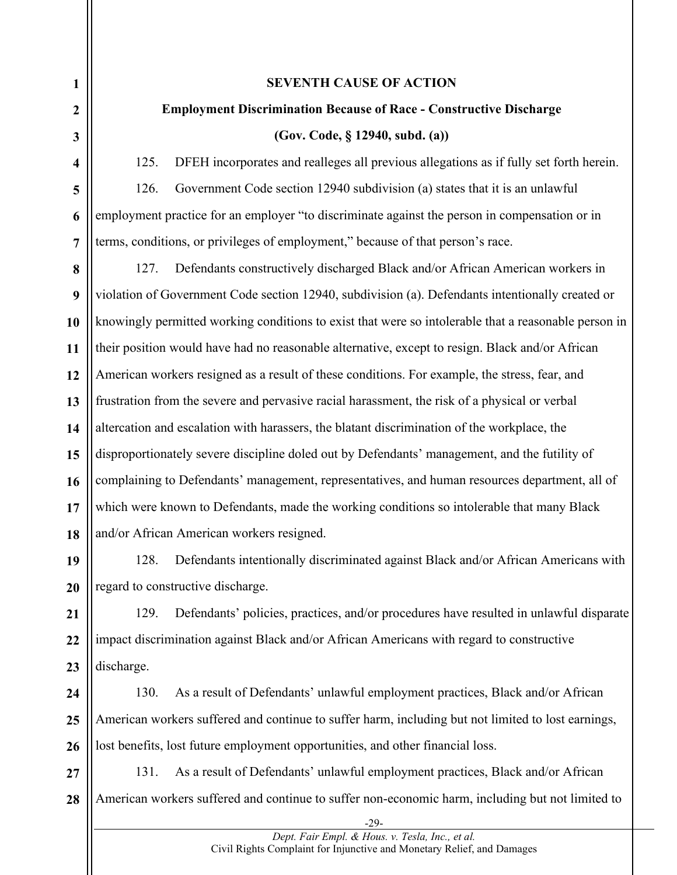#### **SEVENTH CAUSE OF ACTION**

# **Employment Discrimination Because of Race - Constructive Discharge**

#### **(Gov. Code, § 12940, subd. (a))**

125. DFEH incorporates and realleges all previous allegations as if fully set forth herein. 126. Government Code section 12940 subdivision (a) states that it is an unlawful employment practice for an employer "to discriminate against the person in compensation or in terms, conditions, or privileges of employment," because of that person's race.

127. Defendants constructively discharged Black and/or African American workers in violation of Government Code section 12940, subdivision (a). Defendants intentionally created or knowingly permitted working conditions to exist that were so intolerable that a reasonable person in their position would have had no reasonable alternative, except to resign. Black and/or African American workers resigned as a result of these conditions. For example, the stress, fear, and frustration from the severe and pervasive racial harassment, the risk of a physical or verbal altercation and escalation with harassers, the blatant discrimination of the workplace, the disproportionately severe discipline doled out by Defendants' management, and the futility of complaining to Defendants' management, representatives, and human resources department, all of which were known to Defendants, made the working conditions so intolerable that many Black and/or African American workers resigned.

128. Defendants intentionally discriminated against Black and/or African Americans with regard to constructive discharge.

**21 22 23** 129. Defendants' policies, practices, and/or procedures have resulted in unlawful disparate impact discrimination against Black and/or African Americans with regard to constructive discharge.

**24 25 26** 130. As a result of Defendants' unlawful employment practices, Black and/or African American workers suffered and continue to suffer harm, including but not limited to lost earnings, lost benefits, lost future employment opportunities, and other financial loss.

**27 28** 131. As a result of Defendants' unlawful employment practices, Black and/or African American workers suffered and continue to suffer non-economic harm, including but not limited to

> -29- *Dept. Fair Empl. & Hous. v. Tesla, Inc., et al.*  Civil Rights Complaint for Injunctive and Monetary Relief, and Damages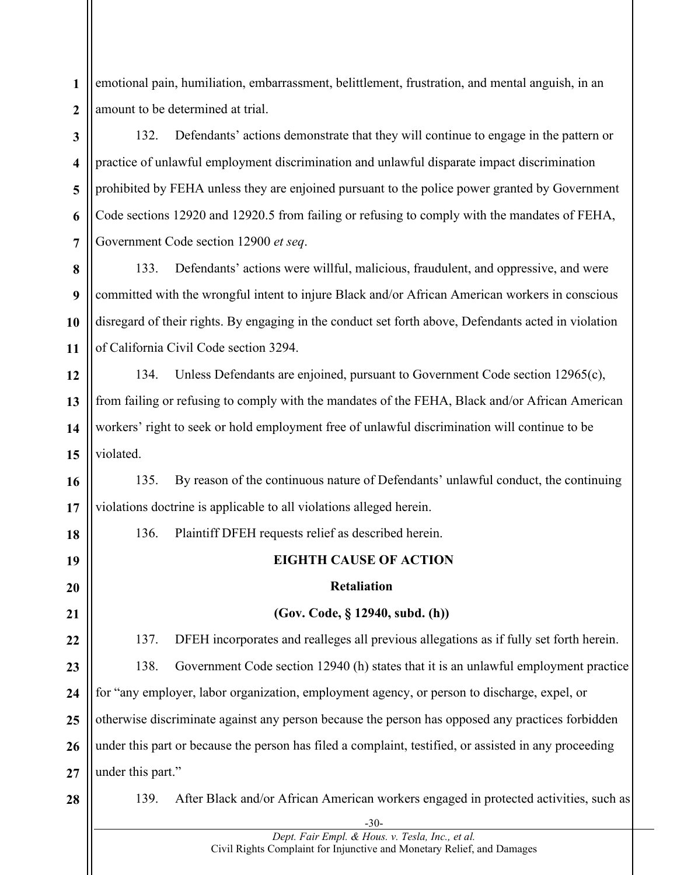**1 2** emotional pain, humiliation, embarrassment, belittlement, frustration, and mental anguish, in an amount to be determined at trial.

**3 4 5 6 7** 132. Defendants' actions demonstrate that they will continue to engage in the pattern or practice of unlawful employment discrimination and unlawful disparate impact discrimination prohibited by FEHA unless they are enjoined pursuant to the police power granted by Government Code sections 12920 and 12920.5 from failing or refusing to comply with the mandates of FEHA, Government Code section 12900 *et seq*.

**8 9 10 11** 133. Defendants' actions were willful, malicious, fraudulent, and oppressive, and were committed with the wrongful intent to injure Black and/or African American workers in conscious disregard of their rights. By engaging in the conduct set forth above, Defendants acted in violation of California Civil Code section 3294.

**12 13 14 15** 134. Unless Defendants are enjoined, pursuant to Government Code section 12965(c), from failing or refusing to comply with the mandates of the FEHA, Black and/or African American workers' right to seek or hold employment free of unlawful discrimination will continue to be violated.

**16 17** 135. By reason of the continuous nature of Defendants' unlawful conduct, the continuing violations doctrine is applicable to all violations alleged herein.

136. Plaintiff DFEH requests relief as described herein.

### **EIGHTH CAUSE OF ACTION**

#### **Retaliation**

### **(Gov. Code, § 12940, subd. (h))**

**22 23 24 25 26 27** 137. DFEH incorporates and realleges all previous allegations as if fully set forth herein. 138. Government Code section 12940 (h) states that it is an unlawful employment practice for "any employer, labor organization, employment agency, or person to discharge, expel, or otherwise discriminate against any person because the person has opposed any practices forbidden under this part or because the person has filed a complaint, testified, or assisted in any proceeding under this part."

**28**

**18**

**19**

**20**

**21**

139. After Black and/or African American workers engaged in protected activities, such as

-30- *Dept. Fair Empl. & Hous. v. Tesla, Inc., et al.*  Civil Rights Complaint for Injunctive and Monetary Relief, and Damages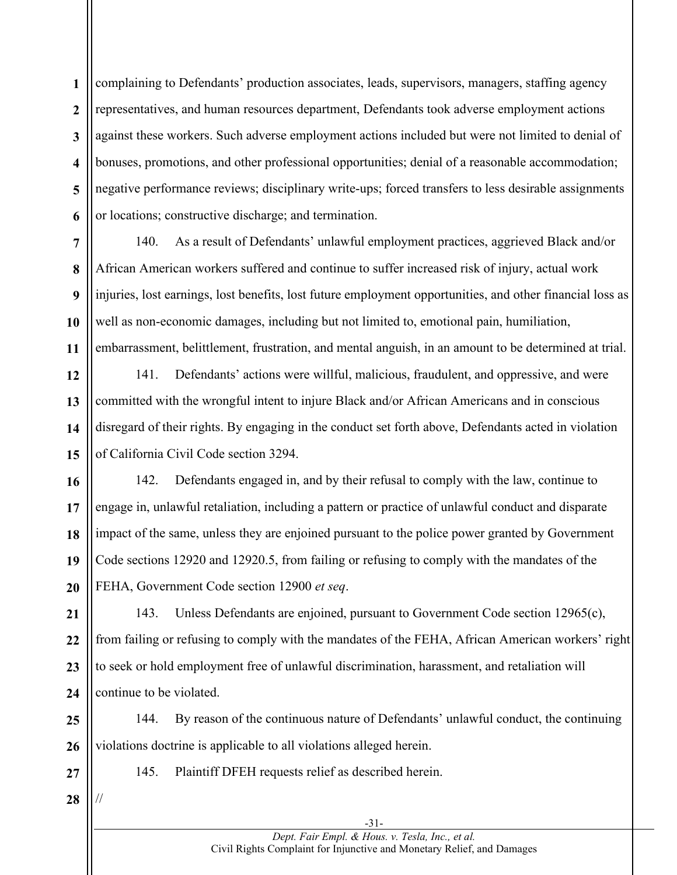**1 2 3 4 5 6** complaining to Defendants' production associates, leads, supervisors, managers, staffing agency representatives, and human resources department, Defendants took adverse employment actions against these workers. Such adverse employment actions included but were not limited to denial of bonuses, promotions, and other professional opportunities; denial of a reasonable accommodation; negative performance reviews; disciplinary write-ups; forced transfers to less desirable assignments or locations; constructive discharge; and termination.



140. As a result of Defendants' unlawful employment practices, aggrieved Black and/or African American workers suffered and continue to suffer increased risk of injury, actual work injuries, lost earnings, lost benefits, lost future employment opportunities, and other financial loss as well as non-economic damages, including but not limited to, emotional pain, humiliation, embarrassment, belittlement, frustration, and mental anguish, in an amount to be determined at trial.

**12 13 14 15** 141. Defendants' actions were willful, malicious, fraudulent, and oppressive, and were committed with the wrongful intent to injure Black and/or African Americans and in conscious disregard of their rights. By engaging in the conduct set forth above, Defendants acted in violation of California Civil Code section 3294.

**16 17 18 19 20** 142. Defendants engaged in, and by their refusal to comply with the law, continue to engage in, unlawful retaliation, including a pattern or practice of unlawful conduct and disparate impact of the same, unless they are enjoined pursuant to the police power granted by Government Code sections 12920 and 12920.5, from failing or refusing to comply with the mandates of the FEHA, Government Code section 12900 *et seq*.

**21 22 23 24** 143. Unless Defendants are enjoined, pursuant to Government Code section 12965(c), from failing or refusing to comply with the mandates of the FEHA, African American workers' right to seek or hold employment free of unlawful discrimination, harassment, and retaliation will continue to be violated.

**25 26** 144. By reason of the continuous nature of Defendants' unlawful conduct, the continuing violations doctrine is applicable to all violations alleged herein.

145. Plaintiff DFEH requests relief as described herein.

**28**

//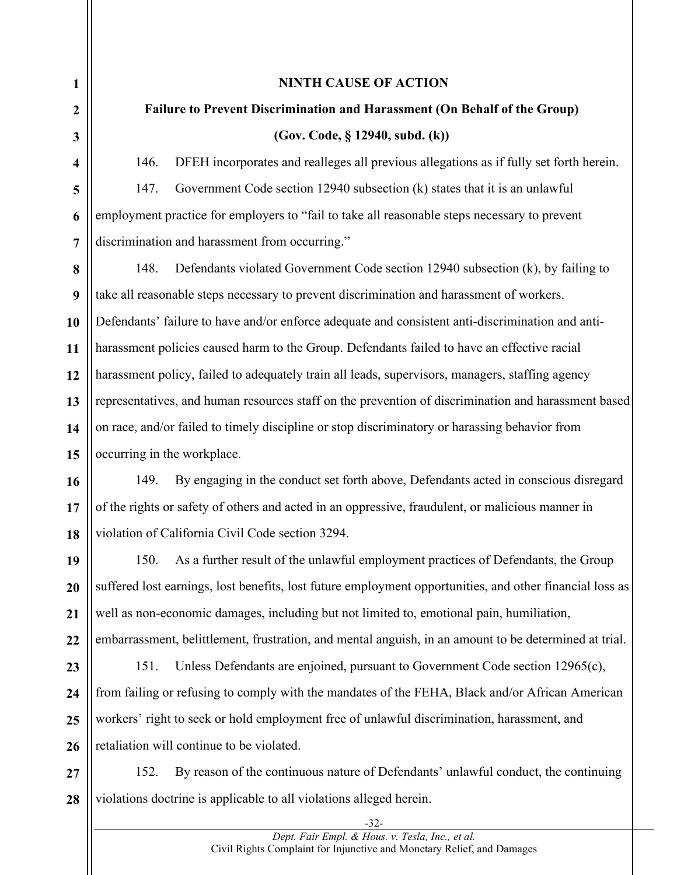#### **NINTH CAUSE OF ACTION**

# **Failure to Prevent Discrimination and Harassment (On Behalf of the Group) (Gov. Code, § 12940, subd. (k))**

146. DFEH incorporates and realleges all previous allegations as if fully set forth herein. 147. Government Code section 12940 subsection (k) states that it is an unlawful employment practice for employers to "fail to take all reasonable steps necessary to prevent discrimination and harassment from occurring."

**8 9** 148. Defendants violated Government Code section 12940 subsection (k), by failing to take all reasonable steps necessary to prevent discrimination and harassment of workers. Defendants' failure to have and/or enforce adequate and consistent anti-discrimination and antiharassment policies caused harm to the Group. Defendants failed to have an effective racial harassment policy, failed to adequately train all leads, supervisors, managers, staffing agency representatives, and human resources staff on the prevention of discrimination and harassment based on race, and/or failed to timely discipline or stop discriminatory or harassing behavior from occurring in the workplace.

149. By engaging in the conduct set forth above, Defendants acted in conscious disregard of the rights or safety of others and acted in an oppressive, fraudulent, or malicious manner in violation of California Civil Code section 3294.

150. As a further result of the unlawful employment practices of Defendants, the Group suffered lost earnings, lost benefits, lost future employment opportunities, and other financial loss as well as non-economic damages, including but not limited to, emotional pain, humiliation, embarrassment, belittlement, frustration, and mental anguish, in an amount to be determined at trial.

**25 26** 151. Unless Defendants are enjoined, pursuant to Government Code section 12965(c), from failing or refusing to comply with the mandates of the FEHA, Black and/or African American workers' right to seek or hold employment free of unlawful discrimination, harassment, and retaliation will continue to be violated.

**27 28** 152. By reason of the continuous nature of Defendants' unlawful conduct, the continuing violations doctrine is applicable to all violations alleged herein.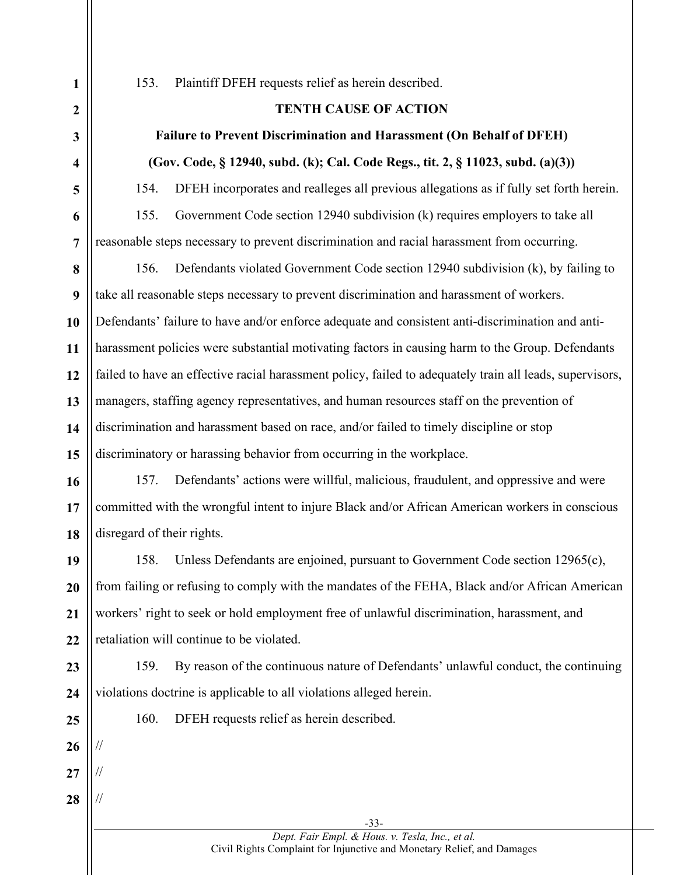153. Plaintiff DFEH requests relief as herein described.

### **TENTH CAUSE OF ACTION**

# **Failure to Prevent Discrimination and Harassment (On Behalf of DFEH) (Gov. Code, § 12940, subd. (k); Cal. Code Regs., tit. 2, § 11023, subd. (a)(3))**

154. DFEH incorporates and realleges all previous allegations as if fully set forth herein.

155. Government Code section 12940 subdivision (k) requires employers to take all reasonable steps necessary to prevent discrimination and racial harassment from occurring.

156. Defendants violated Government Code section 12940 subdivision (k), by failing to take all reasonable steps necessary to prevent discrimination and harassment of workers. Defendants' failure to have and/or enforce adequate and consistent anti-discrimination and antiharassment policies were substantial motivating factors in causing harm to the Group. Defendants failed to have an effective racial harassment policy, failed to adequately train all leads, supervisors, managers, staffing agency representatives, and human resources staff on the prevention of discrimination and harassment based on race, and/or failed to timely discipline or stop discriminatory or harassing behavior from occurring in the workplace.

157. Defendants' actions were willful, malicious, fraudulent, and oppressive and were committed with the wrongful intent to injure Black and/or African American workers in conscious disregard of their rights.

158. Unless Defendants are enjoined, pursuant to Government Code section 12965(c), from failing or refusing to comply with the mandates of the FEHA, Black and/or African American workers' right to seek or hold employment free of unlawful discrimination, harassment, and retaliation will continue to be violated.

**24 25**

//

//

//

**28**

160. DFEH requests relief as herein described.

violations doctrine is applicable to all violations alleged herein.

-33- *Dept. Fair Empl. & Hous. v. Tesla, Inc., et al.*  Civil Rights Complaint for Injunctive and Monetary Relief, and Damages

159. By reason of the continuous nature of Defendants' unlawful conduct, the continuing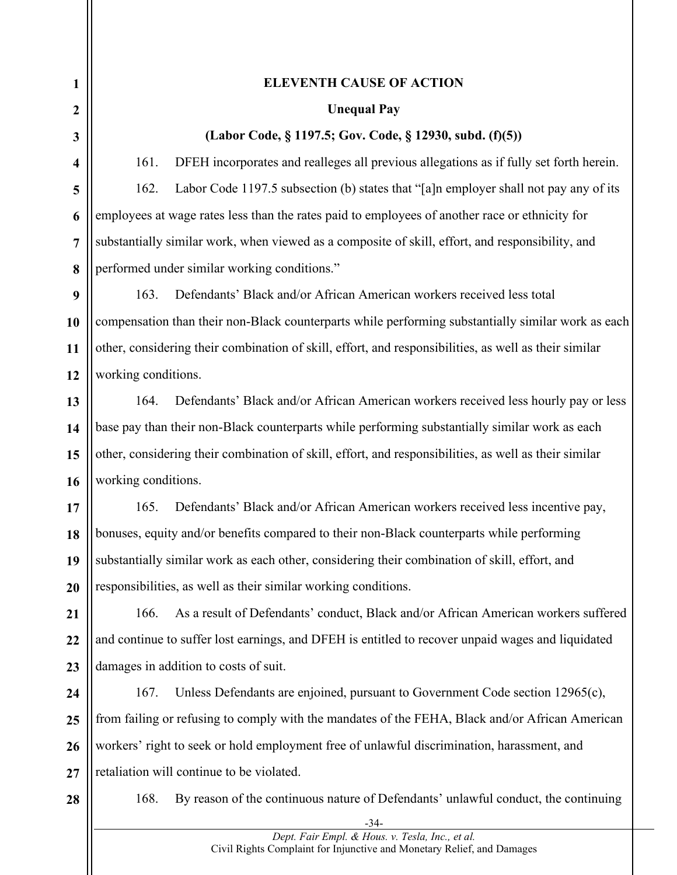#### **1 2 3 4 5 6 7 8 9 10 11 12 13 14 15 16 17 18 19 20 21 22 23 24 25 26 27 ELEVENTH CAUSE OF ACTION Unequal Pay (Labor Code, § 1197.5; Gov. Code, § 12930, subd. (f)(5))** 161. DFEH incorporates and realleges all previous allegations as if fully set forth herein. 162. Labor Code 1197.5 subsection (b) states that "[a]n employer shall not pay any of its employees at wage rates less than the rates paid to employees of another race or ethnicity for substantially similar work, when viewed as a composite of skill, effort, and responsibility, and performed under similar working conditions." 163. Defendants' Black and/or African American workers received less total compensation than their non-Black counterparts while performing substantially similar work as each other, considering their combination of skill, effort, and responsibilities, as well as their similar working conditions. 164. Defendants' Black and/or African American workers received less hourly pay or less base pay than their non-Black counterparts while performing substantially similar work as each other, considering their combination of skill, effort, and responsibilities, as well as their similar working conditions. 165. Defendants' Black and/or African American workers received less incentive pay, bonuses, equity and/or benefits compared to their non-Black counterparts while performing substantially similar work as each other, considering their combination of skill, effort, and responsibilities, as well as their similar working conditions. 166. As a result of Defendants' conduct, Black and/or African American workers suffered and continue to suffer lost earnings, and DFEH is entitled to recover unpaid wages and liquidated damages in addition to costs of suit. 167. Unless Defendants are enjoined, pursuant to Government Code section 12965(c), from failing or refusing to comply with the mandates of the FEHA, Black and/or African American workers' right to seek or hold employment free of unlawful discrimination, harassment, and retaliation will continue to be violated.

**28**

168. By reason of the continuous nature of Defendants' unlawful conduct, the continuing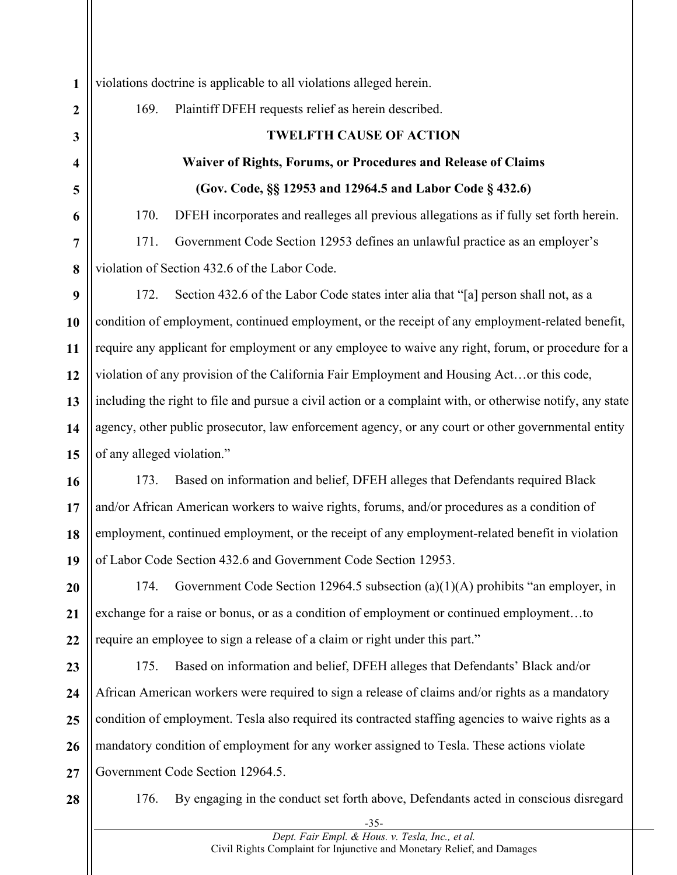violations doctrine is applicable to all violations alleged herein.

169. Plaintiff DFEH requests relief as herein described.

### **TWELFTH CAUSE OF ACTION**

# **Waiver of Rights, Forums, or Procedures and Release of Claims (Gov. Code, §§ 12953 and 12964.5 and Labor Code § 432.6)**

170. DFEH incorporates and realleges all previous allegations as if fully set forth herein.

171. Government Code Section 12953 defines an unlawful practice as an employer's violation of Section 432.6 of the Labor Code.

172. Section 432.6 of the Labor Code states inter alia that "[a] person shall not, as a condition of employment, continued employment, or the receipt of any employment-related benefit, require any applicant for employment or any employee to waive any right, forum, or procedure for a violation of any provision of the California Fair Employment and Housing Act…or this code, including the right to file and pursue a civil action or a complaint with, or otherwise notify, any state agency, other public prosecutor, law enforcement agency, or any court or other governmental entity of any alleged violation."

173. Based on information and belief, DFEH alleges that Defendants required Black and/or African American workers to waive rights, forums, and/or procedures as a condition of employment, continued employment, or the receipt of any employment-related benefit in violation of Labor Code Section 432.6 and Government Code Section 12953.

174. Government Code Section 12964.5 subsection (a)(1)(A) prohibits "an employer, in exchange for a raise or bonus, or as a condition of employment or continued employment…to require an employee to sign a release of a claim or right under this part."

**26 27** 175. Based on information and belief, DFEH alleges that Defendants' Black and/or African American workers were required to sign a release of claims and/or rights as a mandatory condition of employment. Tesla also required its contracted staffing agencies to waive rights as a mandatory condition of employment for any worker assigned to Tesla. These actions violate Government Code Section 12964.5.

**28**

176. By engaging in the conduct set forth above, Defendants acted in conscious disregard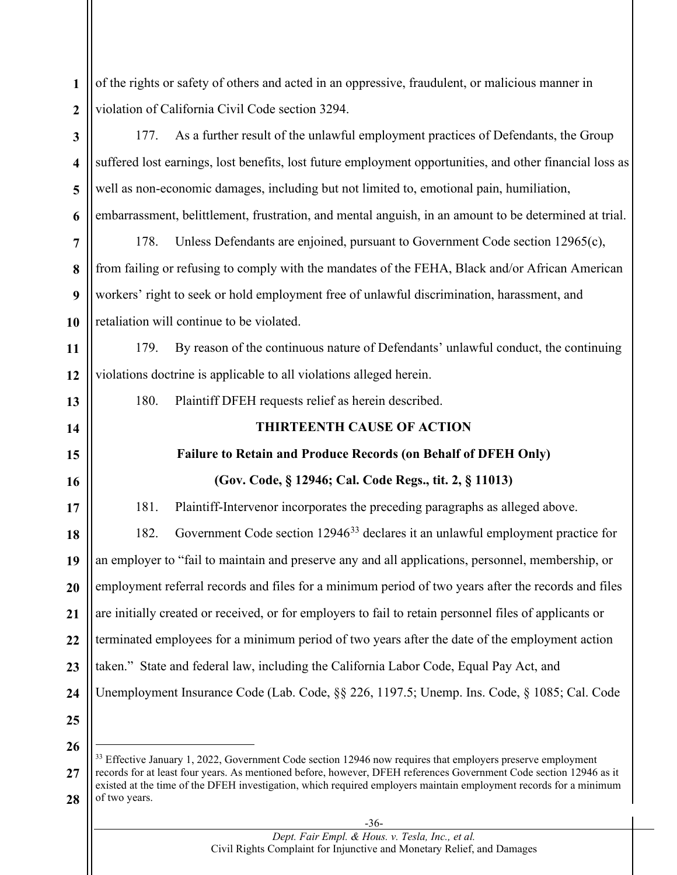<span id="page-35-0"></span>-36- **1 2 3 4 5 6 7 8 9 10 11 12 13 14 15 16 17 18 19 20 21 22 23 24 25 26 27 28** of the rights or safety of others and acted in an oppressive, fraudulent, or malicious manner in violation of California Civil Code section 3294. 177. As a further result of the unlawful employment practices of Defendants, the Group suffered lost earnings, lost benefits, lost future employment opportunities, and other financial loss as well as non-economic damages, including but not limited to, emotional pain, humiliation, embarrassment, belittlement, frustration, and mental anguish, in an amount to be determined at trial. 178. Unless Defendants are enjoined, pursuant to Government Code section 12965(c), from failing or refusing to comply with the mandates of the FEHA, Black and/or African American workers' right to seek or hold employment free of unlawful discrimination, harassment, and retaliation will continue to be violated. 179. By reason of the continuous nature of Defendants' unlawful conduct, the continuing violations doctrine is applicable to all violations alleged herein. 180. Plaintiff DFEH requests relief as herein described. **THIRTEENTH CAUSE OF ACTION Failure to Retain and Produce Records (on Behalf of DFEH Only) (Gov. Code, § 12946; Cal. Code Regs., tit. 2, § 11013)** 181. Plaintiff-Intervenor incorporates the preceding paragraphs as alleged above. 182. Government Code section 12946[33](#page-35-0) declares it an unlawful employment practice for an employer to "fail to maintain and preserve any and all applications, personnel, membership, or employment referral records and files for a minimum period of two years after the records and files are initially created or received, or for employers to fail to retain personnel files of applicants or terminated employees for a minimum period of two years after the date of the employment action taken." State and federal law, including the California Labor Code, Equal Pay Act, and Unemployment Insurance Code (Lab. Code, §§ 226, 1197.5; Unemp. Ins. Code, § 1085; Cal. Code <sup>33</sup> Effective January 1, 2022, Government Code section 12946 now requires that employers preserve employment records for at least four years. As mentioned before, however, DFEH references Government Code section 12946 as it existed at the time of the DFEH investigation, which required employers maintain employment records for a minimum of two years.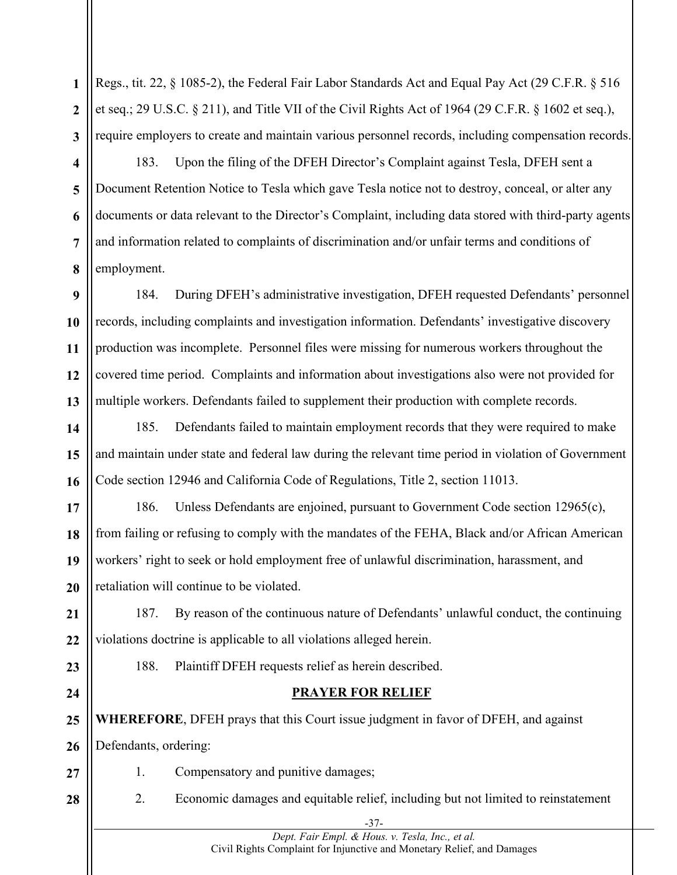**1 2 3** Regs., tit. 22, § 1085-2), the Federal Fair Labor Standards Act and Equal Pay Act (29 C.F.R. § 516 et seq.; 29 U.S.C. § 211), and Title VII of the Civil Rights Act of 1964 (29 C.F.R. § 1602 et seq.), require employers to create and maintain various personnel records, including compensation records.

**5 6 7 8** 183. Upon the filing of the DFEH Director's Complaint against Tesla, DFEH sent a Document Retention Notice to Tesla which gave Tesla notice not to destroy, conceal, or alter any documents or data relevant to the Director's Complaint, including data stored with third-party agents and information related to complaints of discrimination and/or unfair terms and conditions of employment.

**9 10 11 12 13** 184. During DFEH's administrative investigation, DFEH requested Defendants' personnel records, including complaints and investigation information. Defendants' investigative discovery production was incomplete. Personnel files were missing for numerous workers throughout the covered time period. Complaints and information about investigations also were not provided for multiple workers. Defendants failed to supplement their production with complete records.

**14 15 16** 185. Defendants failed to maintain employment records that they were required to make and maintain under state and federal law during the relevant time period in violation of Government Code section 12946 and California Code of Regulations, Title 2, section 11013.

**17 18 19 20** 186. Unless Defendants are enjoined, pursuant to Government Code section 12965(c), from failing or refusing to comply with the mandates of the FEHA, Black and/or African American workers' right to seek or hold employment free of unlawful discrimination, harassment, and retaliation will continue to be violated.

**21 22** 187. By reason of the continuous nature of Defendants' unlawful conduct, the continuing violations doctrine is applicable to all violations alleged herein.

**23**

**4**

- **24**
	-

**PRAYER FOR RELIEF**

**25 26 WHEREFORE**, DFEH prays that this Court issue judgment in favor of DFEH, and against Defendants, ordering:

- **27**
- 1. Compensatory and punitive damages;

188. Plaintiff DFEH requests relief as herein described.

**28**

2. Economic damages and equitable relief, including but not limited to reinstatement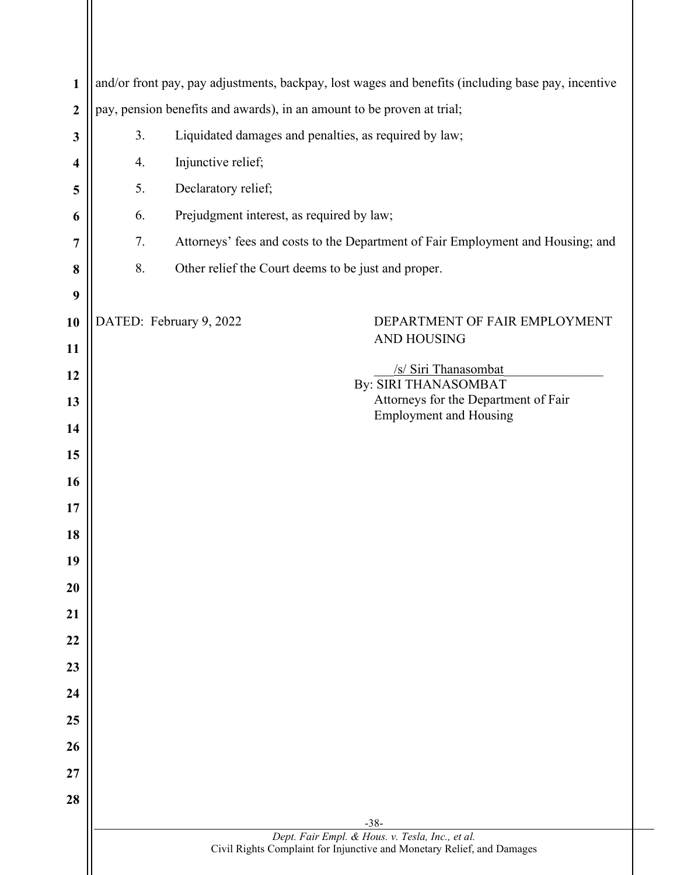| $\mathbf{1}$     | and/or front pay, pay adjustments, backpay, lost wages and benefits (including base pay, incentive |                                                                                 |  |
|------------------|----------------------------------------------------------------------------------------------------|---------------------------------------------------------------------------------|--|
| $\boldsymbol{2}$ | pay, pension benefits and awards), in an amount to be proven at trial;                             |                                                                                 |  |
| 3                | 3.                                                                                                 | Liquidated damages and penalties, as required by law;                           |  |
| 4                | 4.                                                                                                 | Injunctive relief;                                                              |  |
| 5                | 5.                                                                                                 | Declaratory relief;                                                             |  |
| 6                | 6.                                                                                                 | Prejudgment interest, as required by law;                                       |  |
| 7                | 7.                                                                                                 | Attorneys' fees and costs to the Department of Fair Employment and Housing; and |  |
| 8                | 8.                                                                                                 | Other relief the Court deems to be just and proper.                             |  |
| 9                |                                                                                                    |                                                                                 |  |
| 10               |                                                                                                    | DATED: February 9, 2022<br>DEPARTMENT OF FAIR EMPLOYMENT                        |  |
| 11               |                                                                                                    | <b>AND HOUSING</b>                                                              |  |
| 12               |                                                                                                    | /s/ Siri Thanasombat<br>By: SIRI THANASOMBAT                                    |  |
| 13               |                                                                                                    | Attorneys for the Department of Fair<br><b>Employment and Housing</b>           |  |
| 14               |                                                                                                    |                                                                                 |  |
| 15               |                                                                                                    |                                                                                 |  |
| 16               |                                                                                                    |                                                                                 |  |
| 17               |                                                                                                    |                                                                                 |  |
| 18               |                                                                                                    |                                                                                 |  |
| 19               |                                                                                                    |                                                                                 |  |
| 20               |                                                                                                    |                                                                                 |  |
| 21               |                                                                                                    |                                                                                 |  |
| 22               |                                                                                                    |                                                                                 |  |
| 23               |                                                                                                    |                                                                                 |  |
| 24               |                                                                                                    |                                                                                 |  |
| 25               |                                                                                                    |                                                                                 |  |
| 26               |                                                                                                    |                                                                                 |  |
| 27               |                                                                                                    |                                                                                 |  |
| 28               |                                                                                                    |                                                                                 |  |
|                  |                                                                                                    | $-38-$<br>Dept. Fair Empl. & Hous. v. Tesla, Inc., et al.                       |  |
|                  |                                                                                                    | Civil Rights Complaint for Injunctive and Monetary Relief, and Damages          |  |